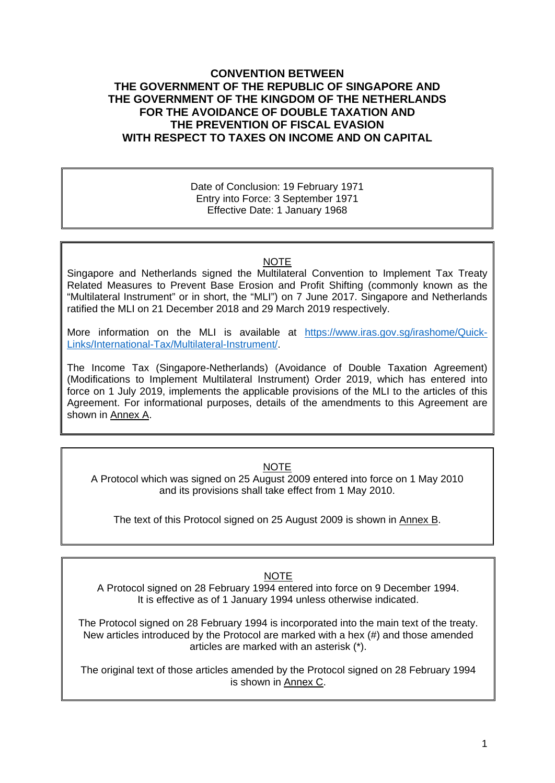#### **CONVENTION BETWEEN THE GOVERNMENT OF THE REPUBLIC OF SINGAPORE AND THE GOVERNMENT OF THE KINGDOM OF THE NETHERLANDS FOR THE AVOIDANCE OF DOUBLE TAXATION AND THE PREVENTION OF FISCAL EVASION WITH RESPECT TO TAXES ON INCOME AND ON CAPITAL**

Date of Conclusion: 19 February 1971 Entry into Force: 3 September 1971 Effective Date: 1 January 1968

#### **NOTE**

Singapore and Netherlands signed the Multilateral Convention to Implement Tax Treaty Related Measures to Prevent Base Erosion and Profit Shifting (commonly known as the "Multilateral Instrument" or in short, the "MLI") on 7 June 2017. Singapore and Netherlands ratified the MLI on 21 December 2018 and 29 March 2019 respectively.

More information on the MLI is available at [https://www.iras.gov.sg/irashome/Quick-](https://www.iras.gov.sg/irashome/Quick-Links/International-Tax/Multilateral-Instrument/)[Links/International-Tax/Multilateral-Instrument/.](https://www.iras.gov.sg/irashome/Quick-Links/International-Tax/Multilateral-Instrument/)

The Income Tax (Singapore-Netherlands) (Avoidance of Double Taxation Agreement) (Modifications to Implement Multilateral Instrument) Order 2019, which has entered into force on 1 July 2019, implements the applicable provisions of the MLI to the articles of this Agreement. For informational purposes, details of the amendments to this Agreement are shown in Annex A.

#### **NOTE**

A Protocol which was signed on 25 August 2009 entered into force on 1 May 2010 and its provisions shall take effect from 1 May 2010.

The text of this Protocol signed on 25 August 2009 is shown in Annex B.

#### NOTE

A Protocol signed on 28 February 1994 entered into force on 9 December 1994. It is effective as of 1 January 1994 unless otherwise indicated.

The Protocol signed on 28 February 1994 is incorporated into the main text of the treaty. New articles introduced by the Protocol are marked with a hex (#) and those amended articles are marked with an asterisk (\*).

The original text of those articles amended by the Protocol signed on 28 February 1994 is shown in Annex C.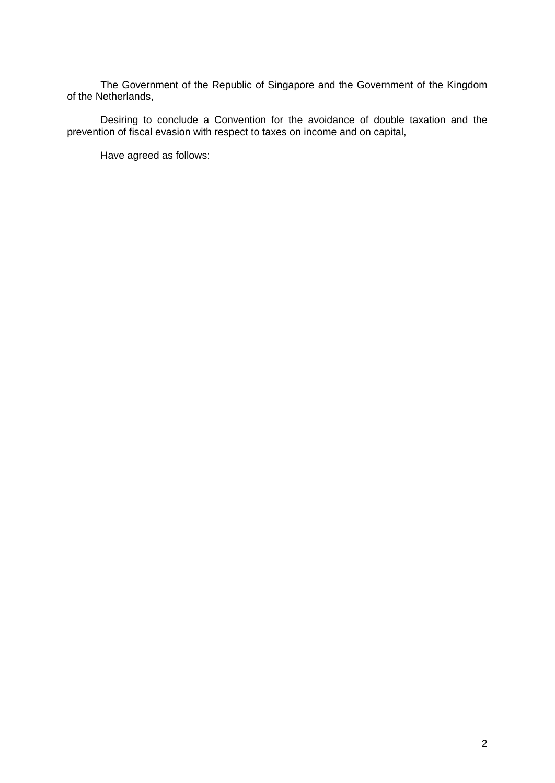The Government of the Republic of Singapore and the Government of the Kingdom of the Netherlands,

Desiring to conclude a Convention for the avoidance of double taxation and the prevention of fiscal evasion with respect to taxes on income and on capital,

Have agreed as follows: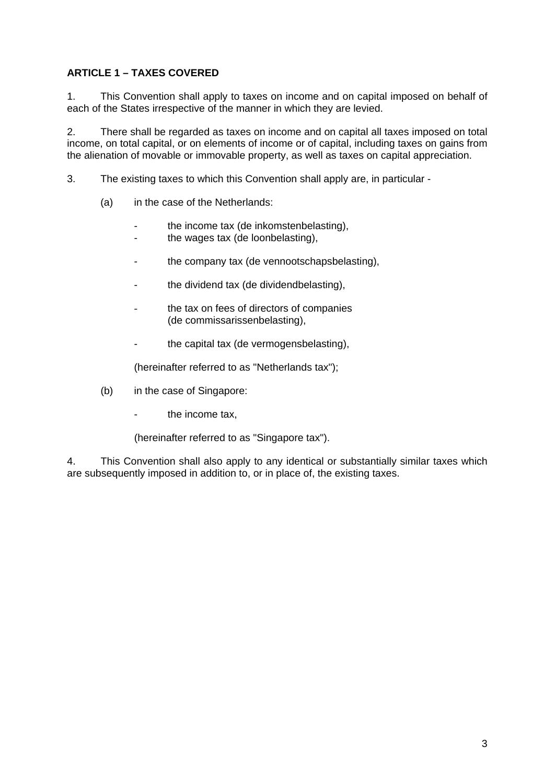#### **ARTICLE 1 – TAXES COVERED**

1. This Convention shall apply to taxes on income and on capital imposed on behalf of each of the States irrespective of the manner in which they are levied.

2. There shall be regarded as taxes on income and on capital all taxes imposed on total income, on total capital, or on elements of income or of capital, including taxes on gains from the alienation of movable or immovable property, as well as taxes on capital appreciation.

3. The existing taxes to which this Convention shall apply are, in particular -

- (a) in the case of the Netherlands:
	- the income tax (de inkomstenbelasting),
	- the wages tax (de loonbelasting),
	- the company tax (de vennootschapsbelasting),
	- the dividend tax (de dividendbelasting),
	- the tax on fees of directors of companies (de commissarissenbelasting),
	- the capital tax (de vermogensbelasting),

(hereinafter referred to as "Netherlands tax");

- (b) in the case of Singapore:
	- the income tax,

(hereinafter referred to as "Singapore tax").

4. This Convention shall also apply to any identical or substantially similar taxes which are subsequently imposed in addition to, or in place of, the existing taxes.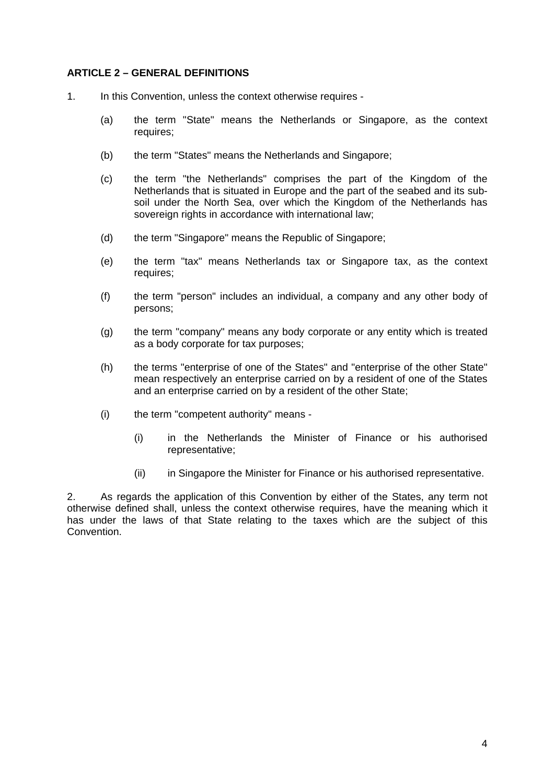#### **ARTICLE 2 – GENERAL DEFINITIONS**

- 1. In this Convention, unless the context otherwise requires
	- (a) the term "State" means the Netherlands or Singapore, as the context requires;
	- (b) the term "States" means the Netherlands and Singapore;
	- (c) the term "the Netherlands" comprises the part of the Kingdom of the Netherlands that is situated in Europe and the part of the seabed and its subsoil under the North Sea, over which the Kingdom of the Netherlands has sovereign rights in accordance with international law;
	- (d) the term "Singapore" means the Republic of Singapore;
	- (e) the term "tax" means Netherlands tax or Singapore tax, as the context requires;
	- (f) the term "person" includes an individual, a company and any other body of persons;
	- (g) the term "company" means any body corporate or any entity which is treated as a body corporate for tax purposes;
	- (h) the terms "enterprise of one of the States" and "enterprise of the other State" mean respectively an enterprise carried on by a resident of one of the States and an enterprise carried on by a resident of the other State;
	- (i) the term "competent authority" means
		- (i) in the Netherlands the Minister of Finance or his authorised representative;
		- (ii) in Singapore the Minister for Finance or his authorised representative.

2. As regards the application of this Convention by either of the States, any term not otherwise defined shall, unless the context otherwise requires, have the meaning which it has under the laws of that State relating to the taxes which are the subject of this Convention.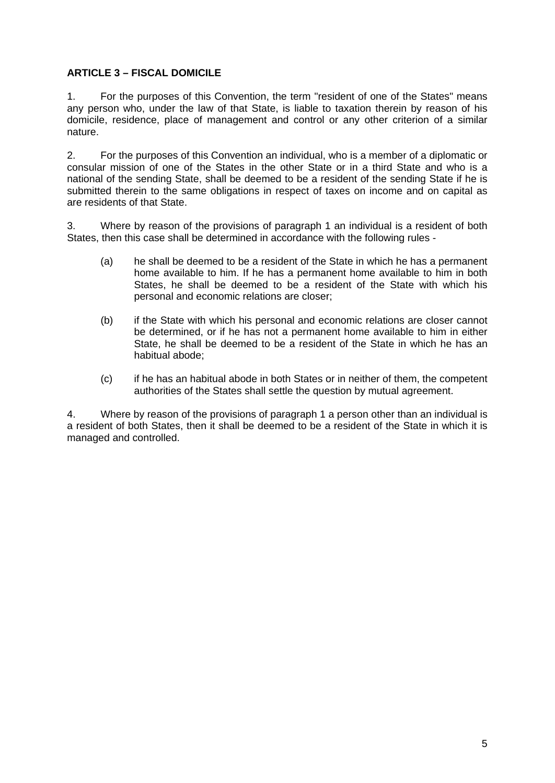#### **ARTICLE 3 – FISCAL DOMICILE**

1. For the purposes of this Convention, the term "resident of one of the States" means any person who, under the law of that State, is liable to taxation therein by reason of his domicile, residence, place of management and control or any other criterion of a similar nature.

2. For the purposes of this Convention an individual, who is a member of a diplomatic or consular mission of one of the States in the other State or in a third State and who is a national of the sending State, shall be deemed to be a resident of the sending State if he is submitted therein to the same obligations in respect of taxes on income and on capital as are residents of that State.

3. Where by reason of the provisions of paragraph 1 an individual is a resident of both States, then this case shall be determined in accordance with the following rules -

- (a) he shall be deemed to be a resident of the State in which he has a permanent home available to him. If he has a permanent home available to him in both States, he shall be deemed to be a resident of the State with which his personal and economic relations are closer;
- (b) if the State with which his personal and economic relations are closer cannot be determined, or if he has not a permanent home available to him in either State, he shall be deemed to be a resident of the State in which he has an habitual abode;
- (c) if he has an habitual abode in both States or in neither of them, the competent authorities of the States shall settle the question by mutual agreement.

4. Where by reason of the provisions of paragraph 1 a person other than an individual is a resident of both States, then it shall be deemed to be a resident of the State in which it is managed and controlled.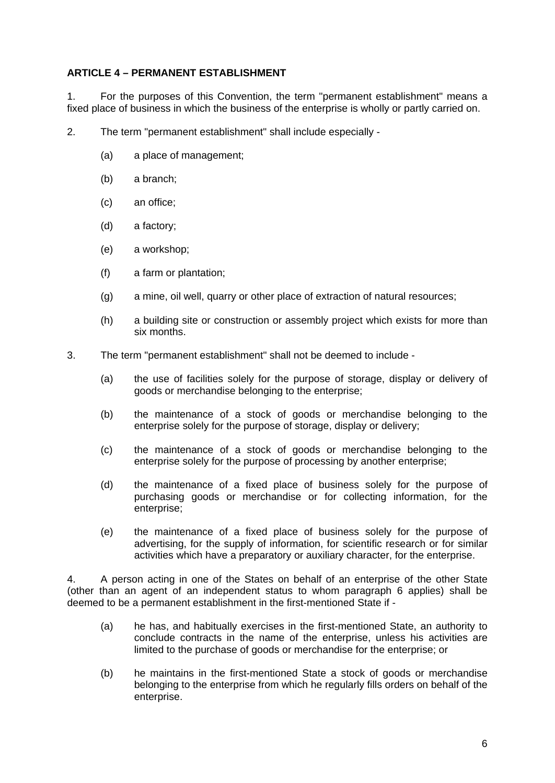#### **ARTICLE 4 – PERMANENT ESTABLISHMENT**

1. For the purposes of this Convention, the term "permanent establishment" means a fixed place of business in which the business of the enterprise is wholly or partly carried on.

- 2. The term "permanent establishment" shall include especially
	- (a) a place of management;
	- (b) a branch;
	- (c) an office;
	- (d) a factory;
	- (e) a workshop;
	- (f) a farm or plantation;
	- (g) a mine, oil well, quarry or other place of extraction of natural resources;
	- (h) a building site or construction or assembly project which exists for more than six months.
- 3. The term "permanent establishment" shall not be deemed to include
	- (a) the use of facilities solely for the purpose of storage, display or delivery of goods or merchandise belonging to the enterprise;
	- (b) the maintenance of a stock of goods or merchandise belonging to the enterprise solely for the purpose of storage, display or delivery;
	- (c) the maintenance of a stock of goods or merchandise belonging to the enterprise solely for the purpose of processing by another enterprise;
	- (d) the maintenance of a fixed place of business solely for the purpose of purchasing goods or merchandise or for collecting information, for the enterprise;
	- (e) the maintenance of a fixed place of business solely for the purpose of advertising, for the supply of information, for scientific research or for similar activities which have a preparatory or auxiliary character, for the enterprise.

4. A person acting in one of the States on behalf of an enterprise of the other State (other than an agent of an independent status to whom paragraph 6 applies) shall be deemed to be a permanent establishment in the first-mentioned State if -

- (a) he has, and habitually exercises in the first-mentioned State, an authority to conclude contracts in the name of the enterprise, unless his activities are limited to the purchase of goods or merchandise for the enterprise; or
- (b) he maintains in the first-mentioned State a stock of goods or merchandise belonging to the enterprise from which he regularly fills orders on behalf of the enterprise.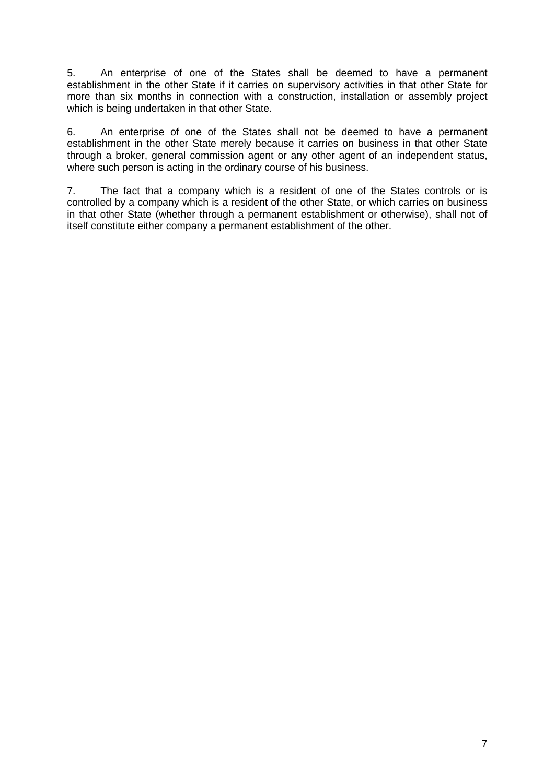5. An enterprise of one of the States shall be deemed to have a permanent establishment in the other State if it carries on supervisory activities in that other State for more than six months in connection with a construction, installation or assembly project which is being undertaken in that other State.

6. An enterprise of one of the States shall not be deemed to have a permanent establishment in the other State merely because it carries on business in that other State through a broker, general commission agent or any other agent of an independent status, where such person is acting in the ordinary course of his business.

7. The fact that a company which is a resident of one of the States controls or is controlled by a company which is a resident of the other State, or which carries on business in that other State (whether through a permanent establishment or otherwise), shall not of itself constitute either company a permanent establishment of the other.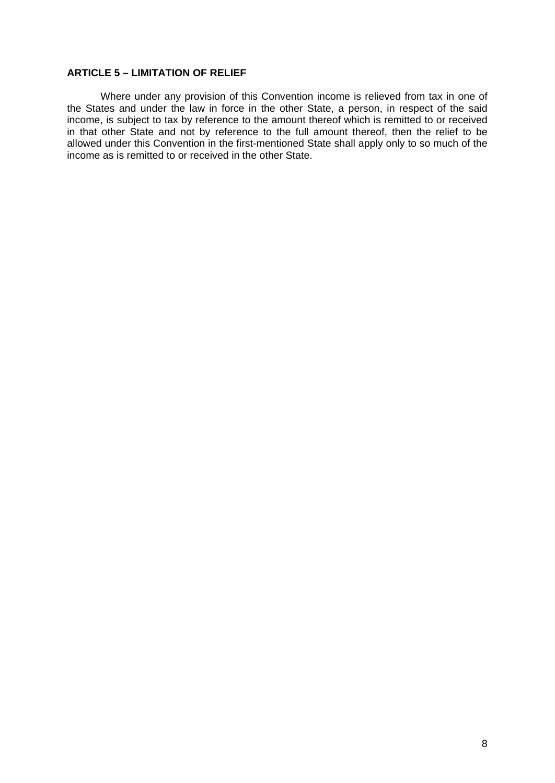#### **ARTICLE 5 – LIMITATION OF RELIEF**

Where under any provision of this Convention income is relieved from tax in one of the States and under the law in force in the other State, a person, in respect of the said income, is subject to tax by reference to the amount thereof which is remitted to or received in that other State and not by reference to the full amount thereof, then the relief to be allowed under this Convention in the first-mentioned State shall apply only to so much of the income as is remitted to or received in the other State.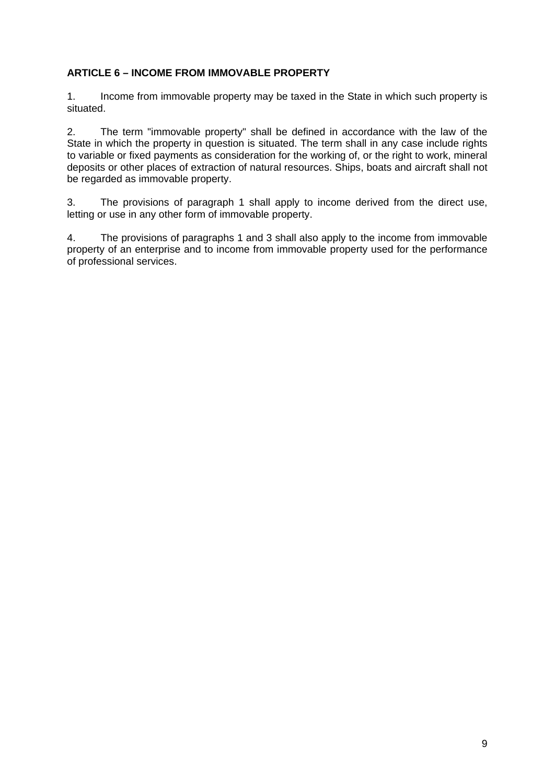#### **ARTICLE 6 – INCOME FROM IMMOVABLE PROPERTY**

1. Income from immovable property may be taxed in the State in which such property is situated.

2. The term "immovable property" shall be defined in accordance with the law of the State in which the property in question is situated. The term shall in any case include rights to variable or fixed payments as consideration for the working of, or the right to work, mineral deposits or other places of extraction of natural resources. Ships, boats and aircraft shall not be regarded as immovable property.

3. The provisions of paragraph 1 shall apply to income derived from the direct use, letting or use in any other form of immovable property.

4. The provisions of paragraphs 1 and 3 shall also apply to the income from immovable property of an enterprise and to income from immovable property used for the performance of professional services.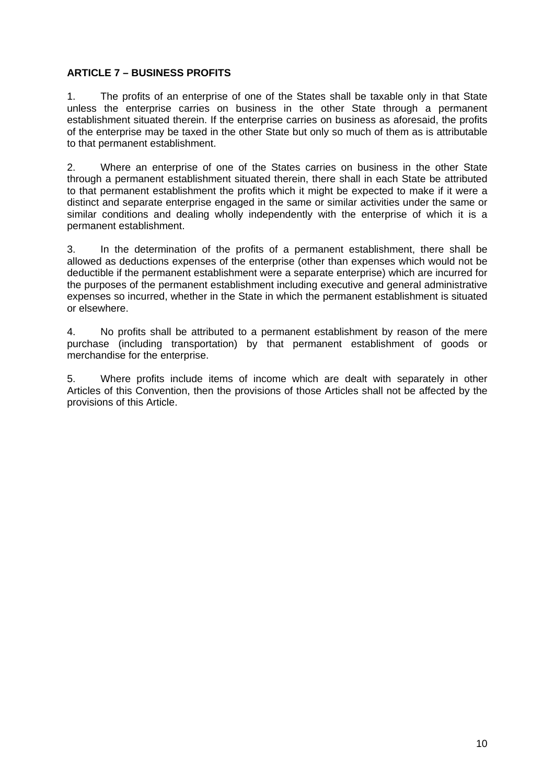#### **ARTICLE 7 – BUSINESS PROFITS**

1. The profits of an enterprise of one of the States shall be taxable only in that State unless the enterprise carries on business in the other State through a permanent establishment situated therein. If the enterprise carries on business as aforesaid, the profits of the enterprise may be taxed in the other State but only so much of them as is attributable to that permanent establishment.

2. Where an enterprise of one of the States carries on business in the other State through a permanent establishment situated therein, there shall in each State be attributed to that permanent establishment the profits which it might be expected to make if it were a distinct and separate enterprise engaged in the same or similar activities under the same or similar conditions and dealing wholly independently with the enterprise of which it is a permanent establishment.

3. In the determination of the profits of a permanent establishment, there shall be allowed as deductions expenses of the enterprise (other than expenses which would not be deductible if the permanent establishment were a separate enterprise) which are incurred for the purposes of the permanent establishment including executive and general administrative expenses so incurred, whether in the State in which the permanent establishment is situated or elsewhere.

4. No profits shall be attributed to a permanent establishment by reason of the mere purchase (including transportation) by that permanent establishment of goods or merchandise for the enterprise.

5. Where profits include items of income which are dealt with separately in other Articles of this Convention, then the provisions of those Articles shall not be affected by the provisions of this Article.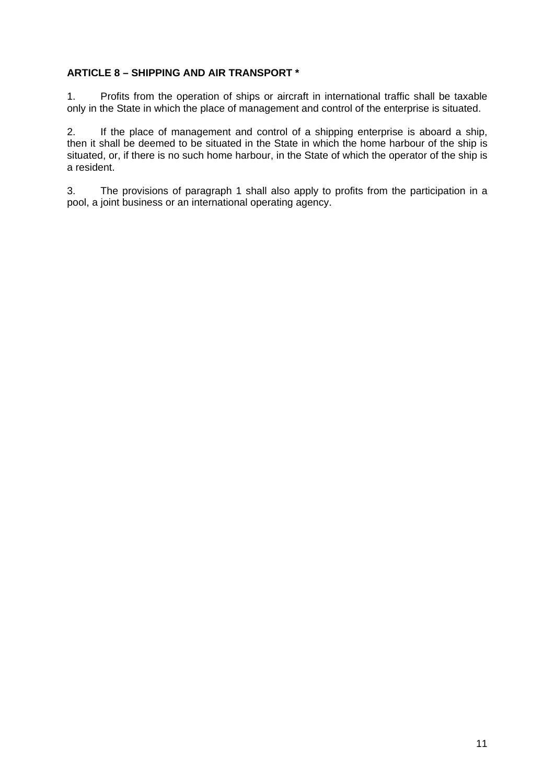#### **ARTICLE 8 – SHIPPING AND AIR TRANSPORT \***

1. Profits from the operation of ships or aircraft in international traffic shall be taxable only in the State in which the place of management and control of the enterprise is situated.

2. If the place of management and control of a shipping enterprise is aboard a ship, then it shall be deemed to be situated in the State in which the home harbour of the ship is situated, or, if there is no such home harbour, in the State of which the operator of the ship is a resident.

3. The provisions of paragraph 1 shall also apply to profits from the participation in a pool, a joint business or an international operating agency.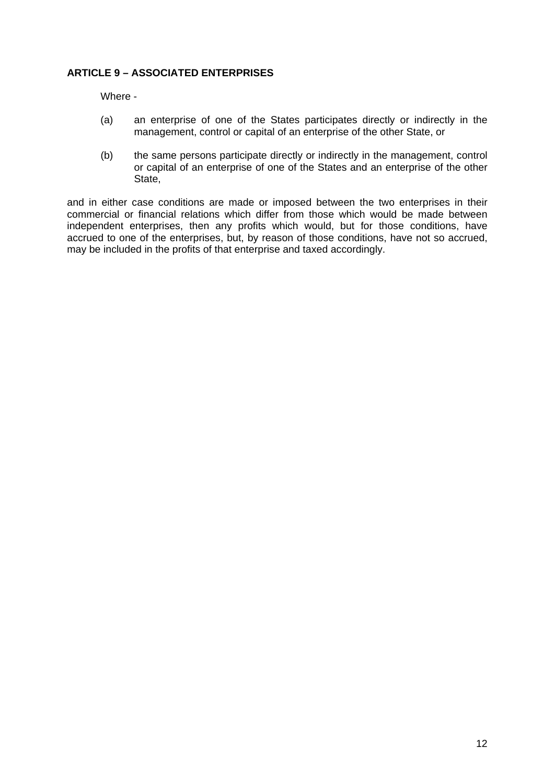#### **ARTICLE 9 – ASSOCIATED ENTERPRISES**

Where -

- (a) an enterprise of one of the States participates directly or indirectly in the management, control or capital of an enterprise of the other State, or
- (b) the same persons participate directly or indirectly in the management, control or capital of an enterprise of one of the States and an enterprise of the other State,

and in either case conditions are made or imposed between the two enterprises in their commercial or financial relations which differ from those which would be made between independent enterprises, then any profits which would, but for those conditions, have accrued to one of the enterprises, but, by reason of those conditions, have not so accrued, may be included in the profits of that enterprise and taxed accordingly.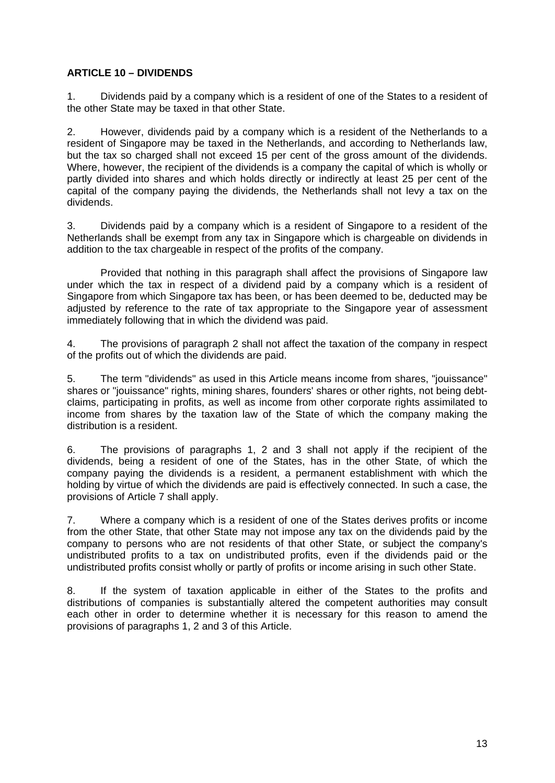#### **ARTICLE 10 – DIVIDENDS**

1. Dividends paid by a company which is a resident of one of the States to a resident of the other State may be taxed in that other State.

2. However, dividends paid by a company which is a resident of the Netherlands to a resident of Singapore may be taxed in the Netherlands, and according to Netherlands law, but the tax so charged shall not exceed 15 per cent of the gross amount of the dividends. Where, however, the recipient of the dividends is a company the capital of which is wholly or partly divided into shares and which holds directly or indirectly at least 25 per cent of the capital of the company paying the dividends, the Netherlands shall not levy a tax on the dividends.

3. Dividends paid by a company which is a resident of Singapore to a resident of the Netherlands shall be exempt from any tax in Singapore which is chargeable on dividends in addition to the tax chargeable in respect of the profits of the company.

Provided that nothing in this paragraph shall affect the provisions of Singapore law under which the tax in respect of a dividend paid by a company which is a resident of Singapore from which Singapore tax has been, or has been deemed to be, deducted may be adjusted by reference to the rate of tax appropriate to the Singapore year of assessment immediately following that in which the dividend was paid.

4. The provisions of paragraph 2 shall not affect the taxation of the company in respect of the profits out of which the dividends are paid.

5. The term "dividends" as used in this Article means income from shares, "jouissance" shares or "jouissance" rights, mining shares, founders' shares or other rights, not being debtclaims, participating in profits, as well as income from other corporate rights assimilated to income from shares by the taxation law of the State of which the company making the distribution is a resident.

6. The provisions of paragraphs 1, 2 and 3 shall not apply if the recipient of the dividends, being a resident of one of the States, has in the other State, of which the company paying the dividends is a resident, a permanent establishment with which the holding by virtue of which the dividends are paid is effectively connected. In such a case, the provisions of Article 7 shall apply.

7. Where a company which is a resident of one of the States derives profits or income from the other State, that other State may not impose any tax on the dividends paid by the company to persons who are not residents of that other State, or subject the company's undistributed profits to a tax on undistributed profits, even if the dividends paid or the undistributed profits consist wholly or partly of profits or income arising in such other State.

8. If the system of taxation applicable in either of the States to the profits and distributions of companies is substantially altered the competent authorities may consult each other in order to determine whether it is necessary for this reason to amend the provisions of paragraphs 1, 2 and 3 of this Article.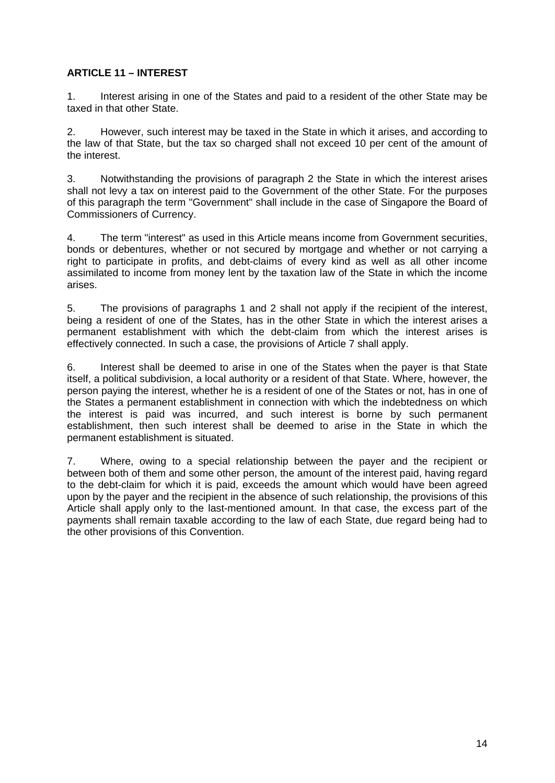#### **ARTICLE 11 – INTEREST**

1. Interest arising in one of the States and paid to a resident of the other State may be taxed in that other State.

2. However, such interest may be taxed in the State in which it arises, and according to the law of that State, but the tax so charged shall not exceed 10 per cent of the amount of the interest.

3. Notwithstanding the provisions of paragraph 2 the State in which the interest arises shall not levy a tax on interest paid to the Government of the other State. For the purposes of this paragraph the term "Government" shall include in the case of Singapore the Board of Commissioners of Currency.

4. The term "interest" as used in this Article means income from Government securities, bonds or debentures, whether or not secured by mortgage and whether or not carrying a right to participate in profits, and debt-claims of every kind as well as all other income assimilated to income from money lent by the taxation law of the State in which the income arises.

5. The provisions of paragraphs 1 and 2 shall not apply if the recipient of the interest, being a resident of one of the States, has in the other State in which the interest arises a permanent establishment with which the debt-claim from which the interest arises is effectively connected. In such a case, the provisions of Article 7 shall apply.

6. Interest shall be deemed to arise in one of the States when the payer is that State itself, a political subdivision, a local authority or a resident of that State. Where, however, the person paying the interest, whether he is a resident of one of the States or not, has in one of the States a permanent establishment in connection with which the indebtedness on which the interest is paid was incurred, and such interest is borne by such permanent establishment, then such interest shall be deemed to arise in the State in which the permanent establishment is situated.

7. Where, owing to a special relationship between the payer and the recipient or between both of them and some other person, the amount of the interest paid, having regard to the debt-claim for which it is paid, exceeds the amount which would have been agreed upon by the payer and the recipient in the absence of such relationship, the provisions of this Article shall apply only to the last-mentioned amount. In that case, the excess part of the payments shall remain taxable according to the law of each State, due regard being had to the other provisions of this Convention.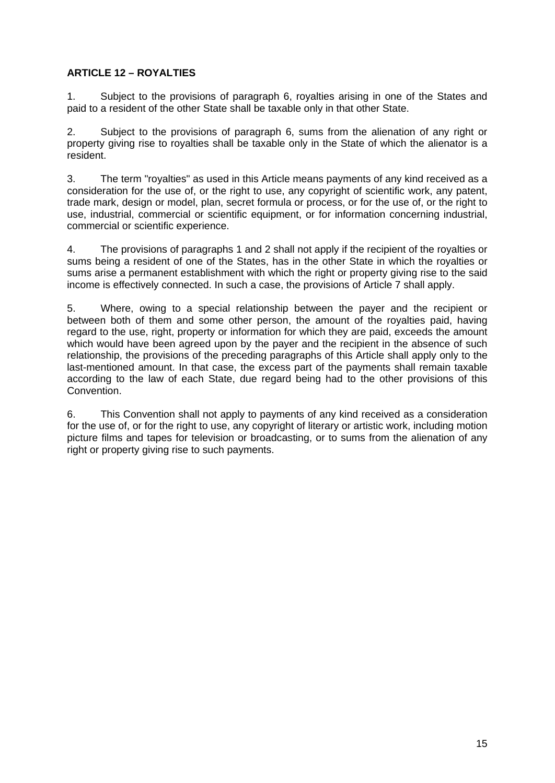#### **ARTICLE 12 – ROYALTIES**

1. Subject to the provisions of paragraph 6, royalties arising in one of the States and paid to a resident of the other State shall be taxable only in that other State.

2. Subject to the provisions of paragraph 6, sums from the alienation of any right or property giving rise to royalties shall be taxable only in the State of which the alienator is a resident.

3. The term "royalties" as used in this Article means payments of any kind received as a consideration for the use of, or the right to use, any copyright of scientific work, any patent, trade mark, design or model, plan, secret formula or process, or for the use of, or the right to use, industrial, commercial or scientific equipment, or for information concerning industrial, commercial or scientific experience.

4. The provisions of paragraphs 1 and 2 shall not apply if the recipient of the royalties or sums being a resident of one of the States, has in the other State in which the royalties or sums arise a permanent establishment with which the right or property giving rise to the said income is effectively connected. In such a case, the provisions of Article 7 shall apply.

5. Where, owing to a special relationship between the payer and the recipient or between both of them and some other person, the amount of the royalties paid, having regard to the use, right, property or information for which they are paid, exceeds the amount which would have been agreed upon by the payer and the recipient in the absence of such relationship, the provisions of the preceding paragraphs of this Article shall apply only to the last-mentioned amount. In that case, the excess part of the payments shall remain taxable according to the law of each State, due regard being had to the other provisions of this Convention.

6. This Convention shall not apply to payments of any kind received as a consideration for the use of, or for the right to use, any copyright of literary or artistic work, including motion picture films and tapes for television or broadcasting, or to sums from the alienation of any right or property giving rise to such payments.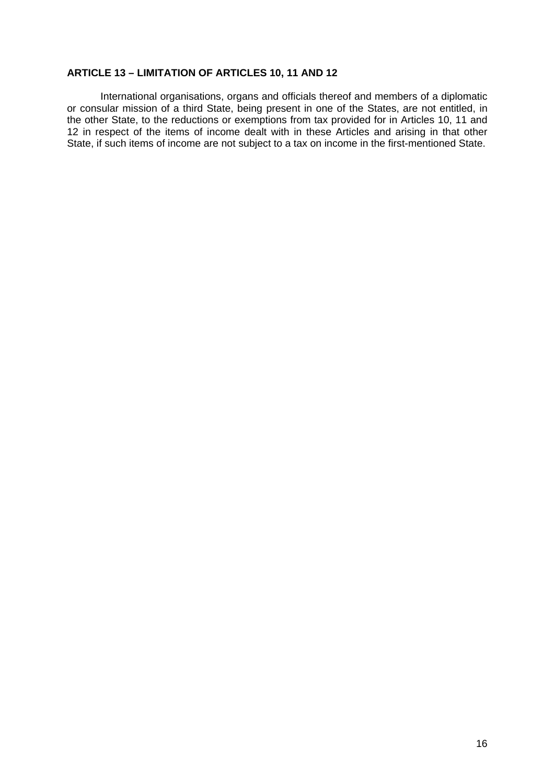#### **ARTICLE 13 – LIMITATION OF ARTICLES 10, 11 AND 12**

International organisations, organs and officials thereof and members of a diplomatic or consular mission of a third State, being present in one of the States, are not entitled, in the other State, to the reductions or exemptions from tax provided for in Articles 10, 11 and 12 in respect of the items of income dealt with in these Articles and arising in that other State, if such items of income are not subject to a tax on income in the first-mentioned State.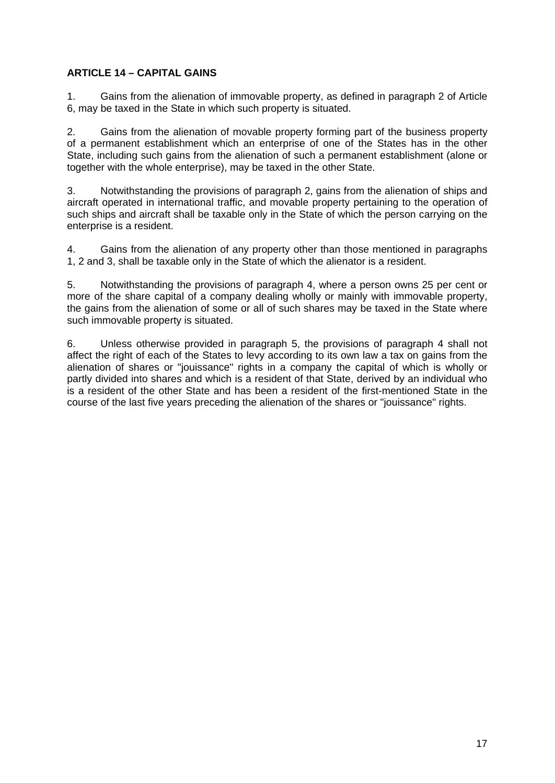#### **ARTICLE 14 – CAPITAL GAINS**

1. Gains from the alienation of immovable property, as defined in paragraph 2 of Article 6, may be taxed in the State in which such property is situated.

2. Gains from the alienation of movable property forming part of the business property of a permanent establishment which an enterprise of one of the States has in the other State, including such gains from the alienation of such a permanent establishment (alone or together with the whole enterprise), may be taxed in the other State.

3. Notwithstanding the provisions of paragraph 2, gains from the alienation of ships and aircraft operated in international traffic, and movable property pertaining to the operation of such ships and aircraft shall be taxable only in the State of which the person carrying on the enterprise is a resident.

4. Gains from the alienation of any property other than those mentioned in paragraphs 1, 2 and 3, shall be taxable only in the State of which the alienator is a resident.

5. Notwithstanding the provisions of paragraph 4, where a person owns 25 per cent or more of the share capital of a company dealing wholly or mainly with immovable property, the gains from the alienation of some or all of such shares may be taxed in the State where such immovable property is situated.

6. Unless otherwise provided in paragraph 5, the provisions of paragraph 4 shall not affect the right of each of the States to levy according to its own law a tax on gains from the alienation of shares or "jouissance" rights in a company the capital of which is wholly or partly divided into shares and which is a resident of that State, derived by an individual who is a resident of the other State and has been a resident of the first-mentioned State in the course of the last five years preceding the alienation of the shares or "jouissance" rights.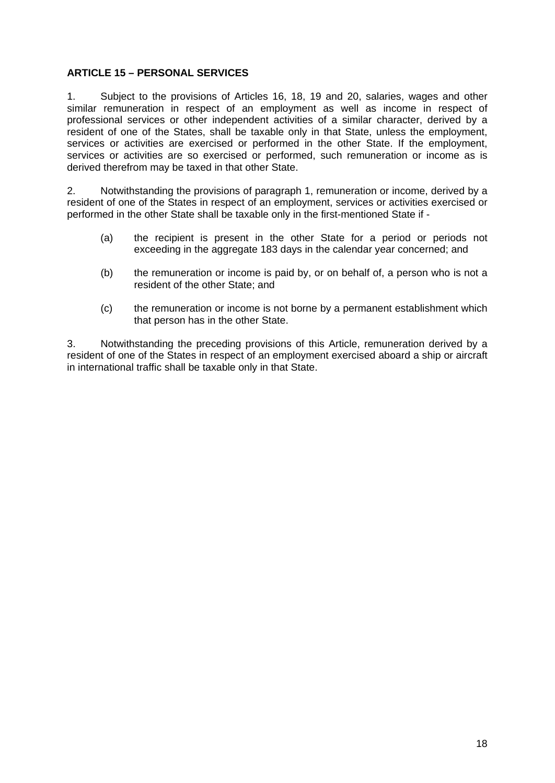#### **ARTICLE 15 – PERSONAL SERVICES**

1. Subject to the provisions of Articles 16, 18, 19 and 20, salaries, wages and other similar remuneration in respect of an employment as well as income in respect of professional services or other independent activities of a similar character, derived by a resident of one of the States, shall be taxable only in that State, unless the employment, services or activities are exercised or performed in the other State. If the employment, services or activities are so exercised or performed, such remuneration or income as is derived therefrom may be taxed in that other State.

2. Notwithstanding the provisions of paragraph 1, remuneration or income, derived by a resident of one of the States in respect of an employment, services or activities exercised or performed in the other State shall be taxable only in the first-mentioned State if -

- (a) the recipient is present in the other State for a period or periods not exceeding in the aggregate 183 days in the calendar year concerned; and
- (b) the remuneration or income is paid by, or on behalf of, a person who is not a resident of the other State; and
- (c) the remuneration or income is not borne by a permanent establishment which that person has in the other State.

3. Notwithstanding the preceding provisions of this Article, remuneration derived by a resident of one of the States in respect of an employment exercised aboard a ship or aircraft in international traffic shall be taxable only in that State.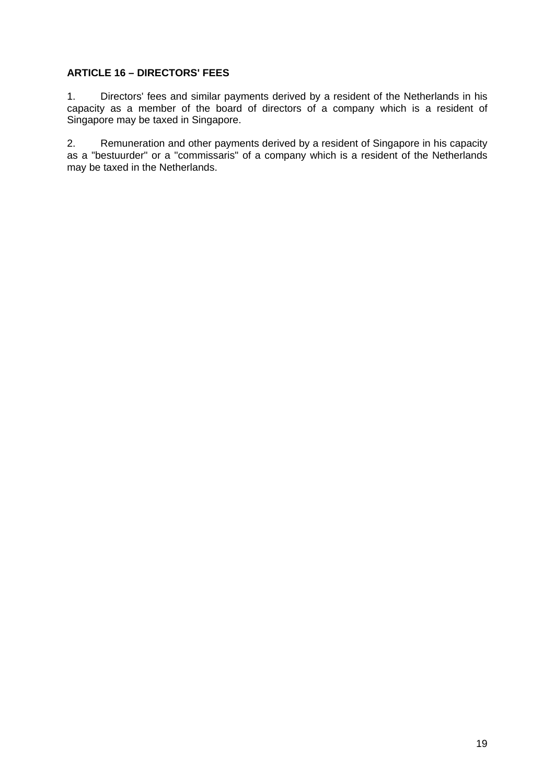#### **ARTICLE 16 – DIRECTORS' FEES**

1. Directors' fees and similar payments derived by a resident of the Netherlands in his capacity as a member of the board of directors of a company which is a resident of Singapore may be taxed in Singapore.

2. Remuneration and other payments derived by a resident of Singapore in his capacity as a "bestuurder" or a "commissaris" of a company which is a resident of the Netherlands may be taxed in the Netherlands.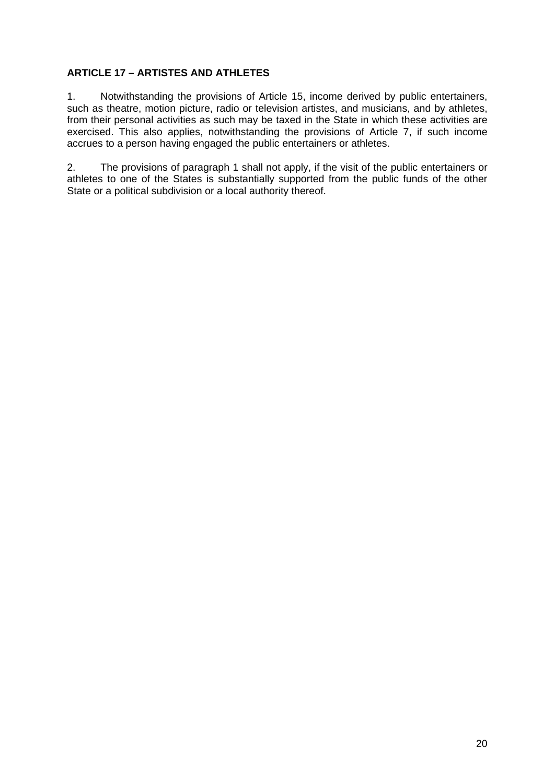#### **ARTICLE 17 – ARTISTES AND ATHLETES**

1. Notwithstanding the provisions of Article 15, income derived by public entertainers, such as theatre, motion picture, radio or television artistes, and musicians, and by athletes, from their personal activities as such may be taxed in the State in which these activities are exercised. This also applies, notwithstanding the provisions of Article 7, if such income accrues to a person having engaged the public entertainers or athletes.

2. The provisions of paragraph 1 shall not apply, if the visit of the public entertainers or athletes to one of the States is substantially supported from the public funds of the other State or a political subdivision or a local authority thereof.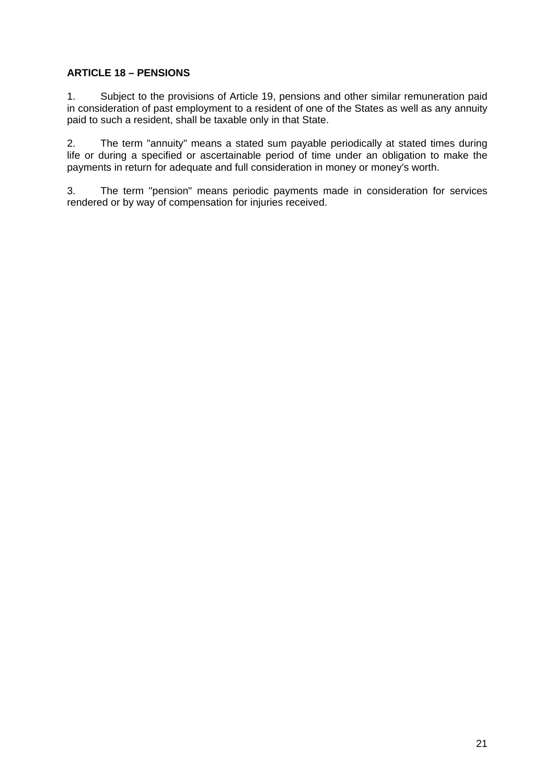#### **ARTICLE 18 – PENSIONS**

1. Subject to the provisions of Article 19, pensions and other similar remuneration paid in consideration of past employment to a resident of one of the States as well as any annuity paid to such a resident, shall be taxable only in that State.

2. The term "annuity" means a stated sum payable periodically at stated times during life or during a specified or ascertainable period of time under an obligation to make the payments in return for adequate and full consideration in money or money's worth.

3. The term "pension" means periodic payments made in consideration for services rendered or by way of compensation for injuries received.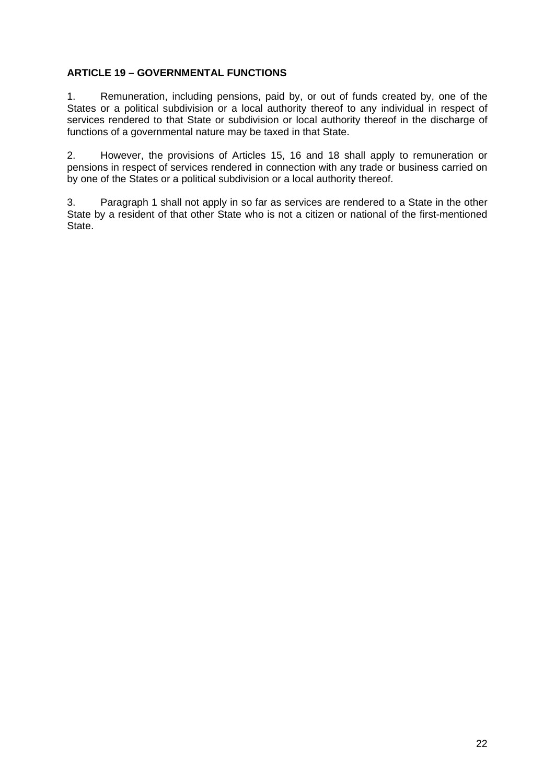#### **ARTICLE 19 – GOVERNMENTAL FUNCTIONS**

1. Remuneration, including pensions, paid by, or out of funds created by, one of the States or a political subdivision or a local authority thereof to any individual in respect of services rendered to that State or subdivision or local authority thereof in the discharge of functions of a governmental nature may be taxed in that State.

2. However, the provisions of Articles 15, 16 and 18 shall apply to remuneration or pensions in respect of services rendered in connection with any trade or business carried on by one of the States or a political subdivision or a local authority thereof.

3. Paragraph 1 shall not apply in so far as services are rendered to a State in the other State by a resident of that other State who is not a citizen or national of the first-mentioned State.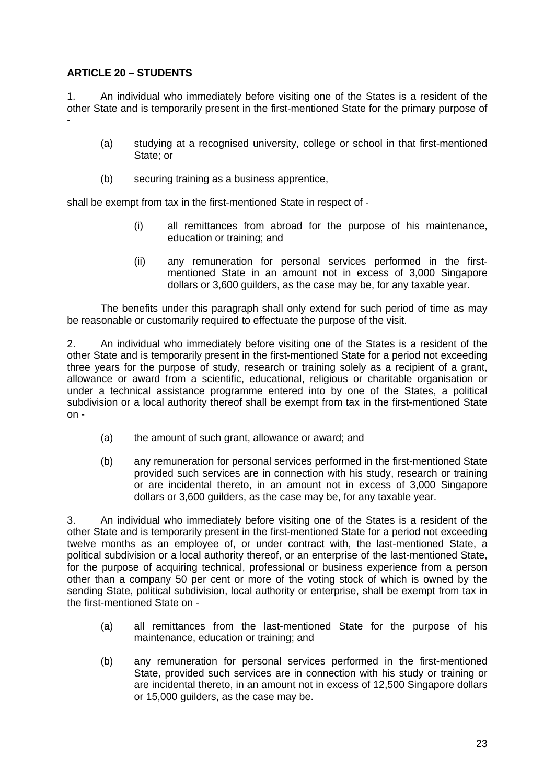#### **ARTICLE 20 – STUDENTS**

1. An individual who immediately before visiting one of the States is a resident of the other State and is temporarily present in the first-mentioned State for the primary purpose of -

- (a) studying at a recognised university, college or school in that first-mentioned State; or
- (b) securing training as a business apprentice,

shall be exempt from tax in the first-mentioned State in respect of -

- (i) all remittances from abroad for the purpose of his maintenance, education or training; and
- (ii) any remuneration for personal services performed in the firstmentioned State in an amount not in excess of 3,000 Singapore dollars or 3,600 guilders, as the case may be, for any taxable year.

The benefits under this paragraph shall only extend for such period of time as may be reasonable or customarily required to effectuate the purpose of the visit.

2. An individual who immediately before visiting one of the States is a resident of the other State and is temporarily present in the first-mentioned State for a period not exceeding three years for the purpose of study, research or training solely as a recipient of a grant, allowance or award from a scientific, educational, religious or charitable organisation or under a technical assistance programme entered into by one of the States, a political subdivision or a local authority thereof shall be exempt from tax in the first-mentioned State on -

- (a) the amount of such grant, allowance or award; and
- (b) any remuneration for personal services performed in the first-mentioned State provided such services are in connection with his study, research or training or are incidental thereto, in an amount not in excess of 3,000 Singapore dollars or 3,600 guilders, as the case may be, for any taxable year.

3. An individual who immediately before visiting one of the States is a resident of the other State and is temporarily present in the first-mentioned State for a period not exceeding twelve months as an employee of, or under contract with, the last-mentioned State, a political subdivision or a local authority thereof, or an enterprise of the last-mentioned State, for the purpose of acquiring technical, professional or business experience from a person other than a company 50 per cent or more of the voting stock of which is owned by the sending State, political subdivision, local authority or enterprise, shall be exempt from tax in the first-mentioned State on -

- (a) all remittances from the last-mentioned State for the purpose of his maintenance, education or training; and
- (b) any remuneration for personal services performed in the first-mentioned State, provided such services are in connection with his study or training or are incidental thereto, in an amount not in excess of 12,500 Singapore dollars or 15,000 guilders, as the case may be.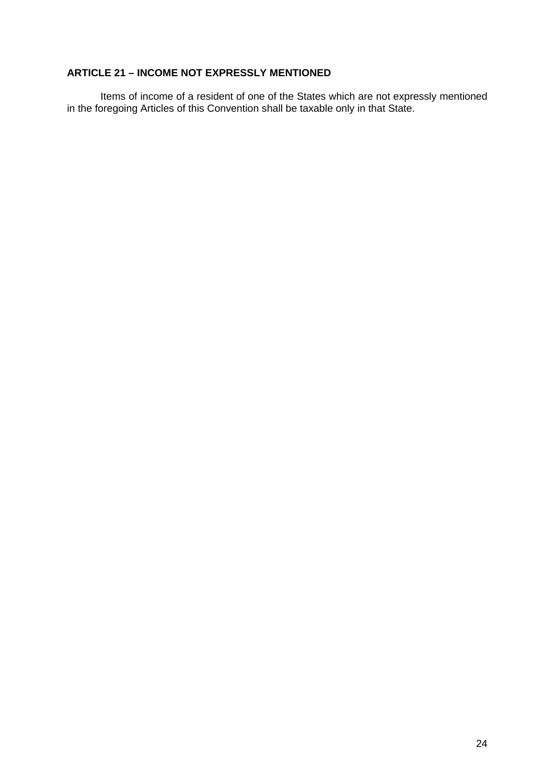#### **ARTICLE 21 – INCOME NOT EXPRESSLY MENTIONED**

Items of income of a resident of one of the States which are not expressly mentioned in the foregoing Articles of this Convention shall be taxable only in that State.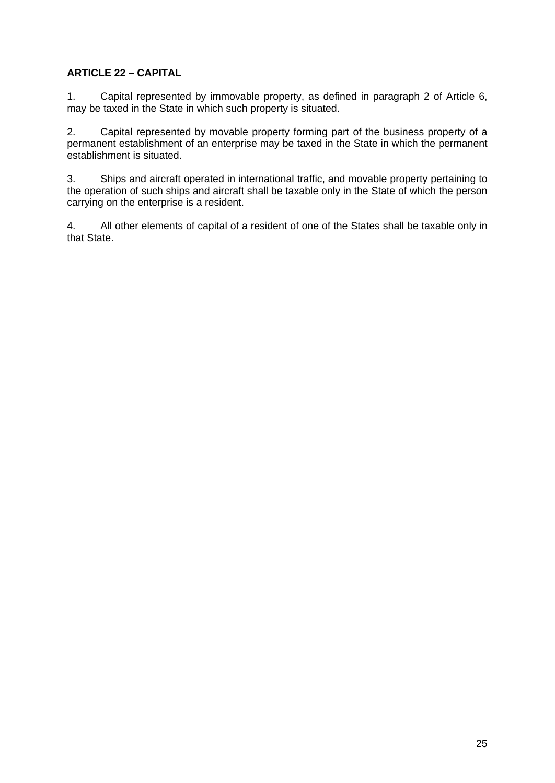#### **ARTICLE 22 – CAPITAL**

1. Capital represented by immovable property, as defined in paragraph 2 of Article 6, may be taxed in the State in which such property is situated.

2. Capital represented by movable property forming part of the business property of a permanent establishment of an enterprise may be taxed in the State in which the permanent establishment is situated.

3. Ships and aircraft operated in international traffic, and movable property pertaining to the operation of such ships and aircraft shall be taxable only in the State of which the person carrying on the enterprise is a resident.

4. All other elements of capital of a resident of one of the States shall be taxable only in that State.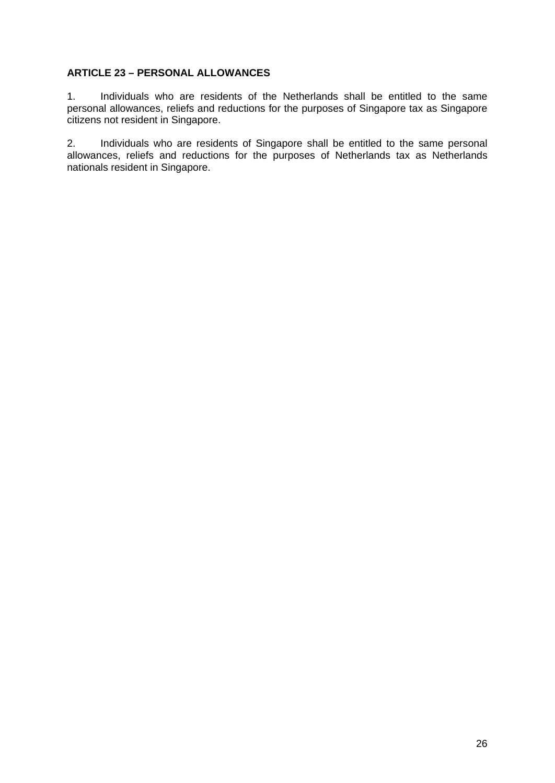#### **ARTICLE 23 – PERSONAL ALLOWANCES**

1. Individuals who are residents of the Netherlands shall be entitled to the same personal allowances, reliefs and reductions for the purposes of Singapore tax as Singapore citizens not resident in Singapore.

2. Individuals who are residents of Singapore shall be entitled to the same personal allowances, reliefs and reductions for the purposes of Netherlands tax as Netherlands nationals resident in Singapore.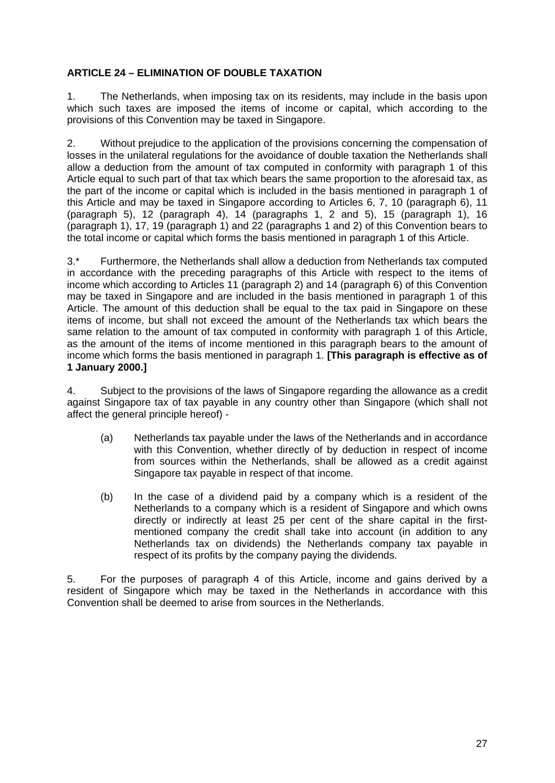#### **ARTICLE 24 – ELIMINATION OF DOUBLE TAXATION**

1. The Netherlands, when imposing tax on its residents, may include in the basis upon which such taxes are imposed the items of income or capital, which according to the provisions of this Convention may be taxed in Singapore.

2. Without prejudice to the application of the provisions concerning the compensation of losses in the unilateral regulations for the avoidance of double taxation the Netherlands shall allow a deduction from the amount of tax computed in conformity with paragraph 1 of this Article equal to such part of that tax which bears the same proportion to the aforesaid tax, as the part of the income or capital which is included in the basis mentioned in paragraph 1 of this Article and may be taxed in Singapore according to Articles 6, 7, 10 (paragraph 6), 11 (paragraph 5), 12 (paragraph 4), 14 (paragraphs 1, 2 and 5), 15 (paragraph 1), 16 (paragraph 1), 17, 19 (paragraph 1) and 22 (paragraphs 1 and 2) of this Convention bears to the total income or capital which forms the basis mentioned in paragraph 1 of this Article.

3.\* Furthermore, the Netherlands shall allow a deduction from Netherlands tax computed in accordance with the preceding paragraphs of this Article with respect to the items of income which according to Articles 11 (paragraph 2) and 14 (paragraph 6) of this Convention may be taxed in Singapore and are included in the basis mentioned in paragraph 1 of this Article. The amount of this deduction shall be equal to the tax paid in Singapore on these items of income, but shall not exceed the amount of the Netherlands tax which bears the same relation to the amount of tax computed in conformity with paragraph 1 of this Article, as the amount of the items of income mentioned in this paragraph bears to the amount of income which forms the basis mentioned in paragraph 1. **[This paragraph is effective as of 1 January 2000.]**

4. Subject to the provisions of the laws of Singapore regarding the allowance as a credit against Singapore tax of tax payable in any country other than Singapore (which shall not affect the general principle hereof) -

- (a) Netherlands tax payable under the laws of the Netherlands and in accordance with this Convention, whether directly of by deduction in respect of income from sources within the Netherlands, shall be allowed as a credit against Singapore tax payable in respect of that income.
- (b) In the case of a dividend paid by a company which is a resident of the Netherlands to a company which is a resident of Singapore and which owns directly or indirectly at least 25 per cent of the share capital in the firstmentioned company the credit shall take into account (in addition to any Netherlands tax on dividends) the Netherlands company tax payable in respect of its profits by the company paying the dividends.

5. For the purposes of paragraph 4 of this Article, income and gains derived by a resident of Singapore which may be taxed in the Netherlands in accordance with this Convention shall be deemed to arise from sources in the Netherlands.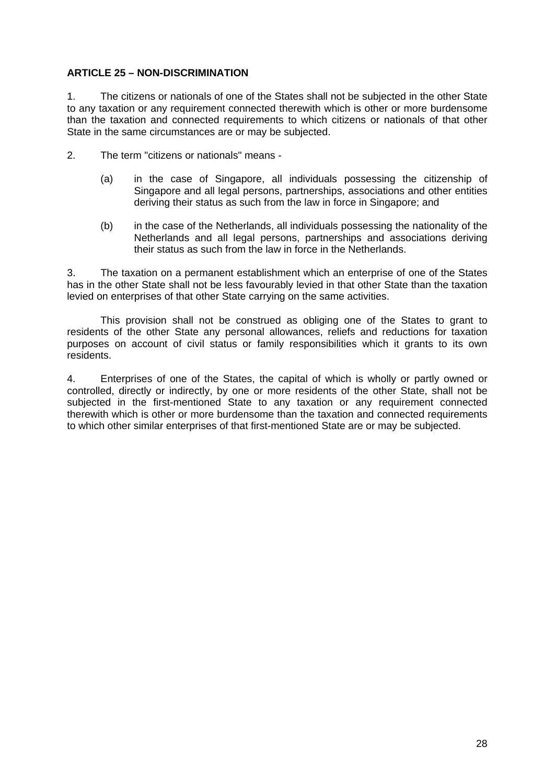#### **ARTICLE 25 – NON-DISCRIMINATION**

1. The citizens or nationals of one of the States shall not be subjected in the other State to any taxation or any requirement connected therewith which is other or more burdensome than the taxation and connected requirements to which citizens or nationals of that other State in the same circumstances are or may be subjected.

2. The term "citizens or nationals" means -

- (a) in the case of Singapore, all individuals possessing the citizenship of Singapore and all legal persons, partnerships, associations and other entities deriving their status as such from the law in force in Singapore; and
- (b) in the case of the Netherlands, all individuals possessing the nationality of the Netherlands and all legal persons, partnerships and associations deriving their status as such from the law in force in the Netherlands.

3. The taxation on a permanent establishment which an enterprise of one of the States has in the other State shall not be less favourably levied in that other State than the taxation levied on enterprises of that other State carrying on the same activities.

This provision shall not be construed as obliging one of the States to grant to residents of the other State any personal allowances, reliefs and reductions for taxation purposes on account of civil status or family responsibilities which it grants to its own residents.

4. Enterprises of one of the States, the capital of which is wholly or partly owned or controlled, directly or indirectly, by one or more residents of the other State, shall not be subjected in the first-mentioned State to any taxation or any requirement connected therewith which is other or more burdensome than the taxation and connected requirements to which other similar enterprises of that first-mentioned State are or may be subjected.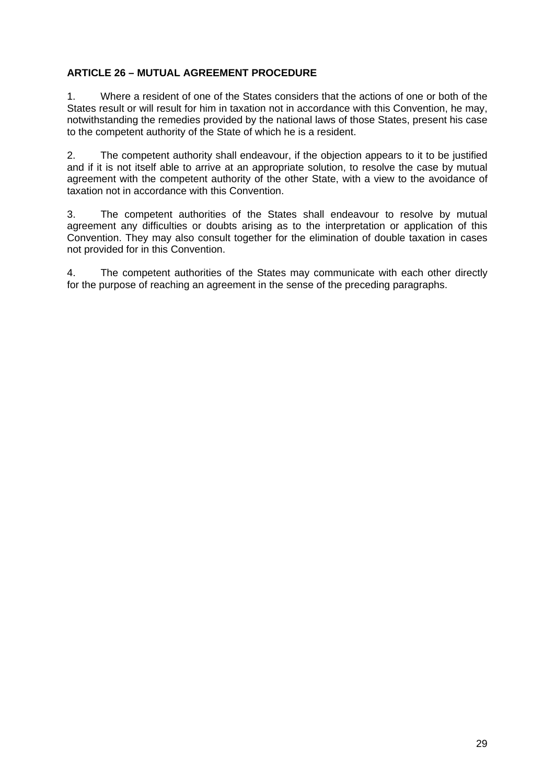#### **ARTICLE 26 – MUTUAL AGREEMENT PROCEDURE**

1. Where a resident of one of the States considers that the actions of one or both of the States result or will result for him in taxation not in accordance with this Convention, he may, notwithstanding the remedies provided by the national laws of those States, present his case to the competent authority of the State of which he is a resident.

2. The competent authority shall endeavour, if the objection appears to it to be justified and if it is not itself able to arrive at an appropriate solution, to resolve the case by mutual agreement with the competent authority of the other State, with a view to the avoidance of taxation not in accordance with this Convention.

3. The competent authorities of the States shall endeavour to resolve by mutual agreement any difficulties or doubts arising as to the interpretation or application of this Convention. They may also consult together for the elimination of double taxation in cases not provided for in this Convention.

4. The competent authorities of the States may communicate with each other directly for the purpose of reaching an agreement in the sense of the preceding paragraphs.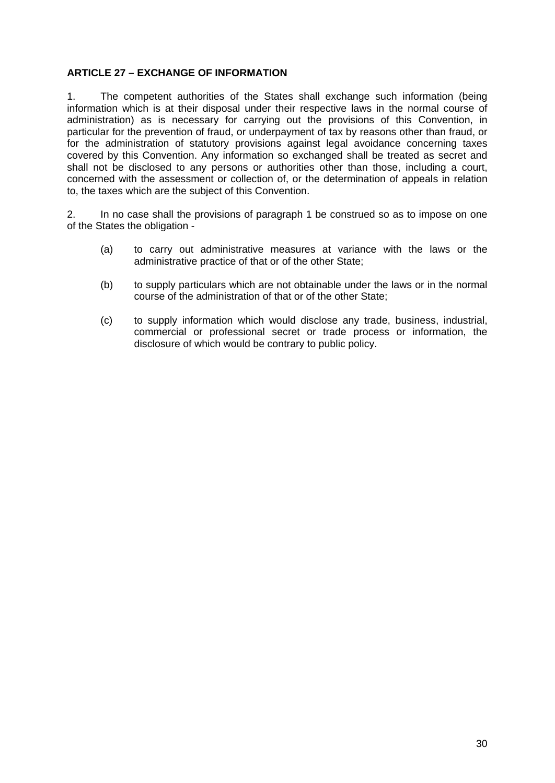#### **ARTICLE 27 – EXCHANGE OF INFORMATION**

1. The competent authorities of the States shall exchange such information (being information which is at their disposal under their respective laws in the normal course of administration) as is necessary for carrying out the provisions of this Convention, in particular for the prevention of fraud, or underpayment of tax by reasons other than fraud, or for the administration of statutory provisions against legal avoidance concerning taxes covered by this Convention. Any information so exchanged shall be treated as secret and shall not be disclosed to any persons or authorities other than those, including a court, concerned with the assessment or collection of, or the determination of appeals in relation to, the taxes which are the subject of this Convention.

2. In no case shall the provisions of paragraph 1 be construed so as to impose on one of the States the obligation -

- (a) to carry out administrative measures at variance with the laws or the administrative practice of that or of the other State;
- (b) to supply particulars which are not obtainable under the laws or in the normal course of the administration of that or of the other State;
- (c) to supply information which would disclose any trade, business, industrial, commercial or professional secret or trade process or information, the disclosure of which would be contrary to public policy.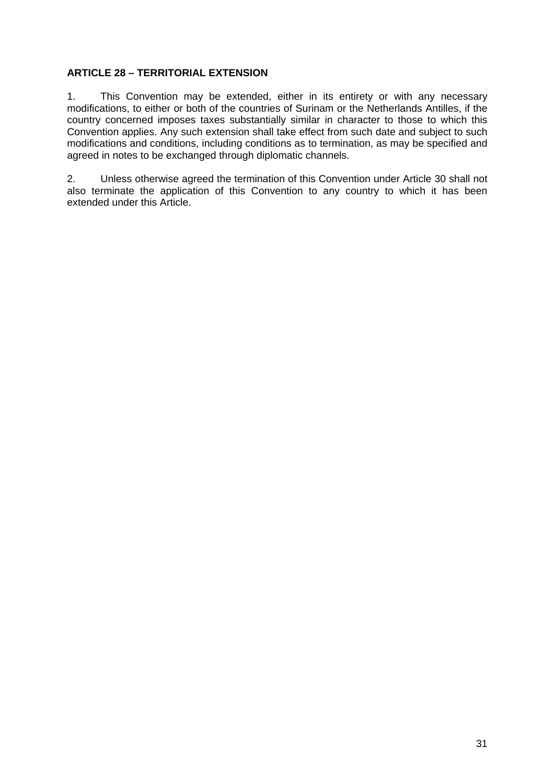#### **ARTICLE 28 – TERRITORIAL EXTENSION**

1. This Convention may be extended, either in its entirety or with any necessary modifications, to either or both of the countries of Surinam or the Netherlands Antilles, if the country concerned imposes taxes substantially similar in character to those to which this Convention applies. Any such extension shall take effect from such date and subject to such modifications and conditions, including conditions as to termination, as may be specified and agreed in notes to be exchanged through diplomatic channels.

2. Unless otherwise agreed the termination of this Convention under Article 30 shall not also terminate the application of this Convention to any country to which it has been extended under this Article.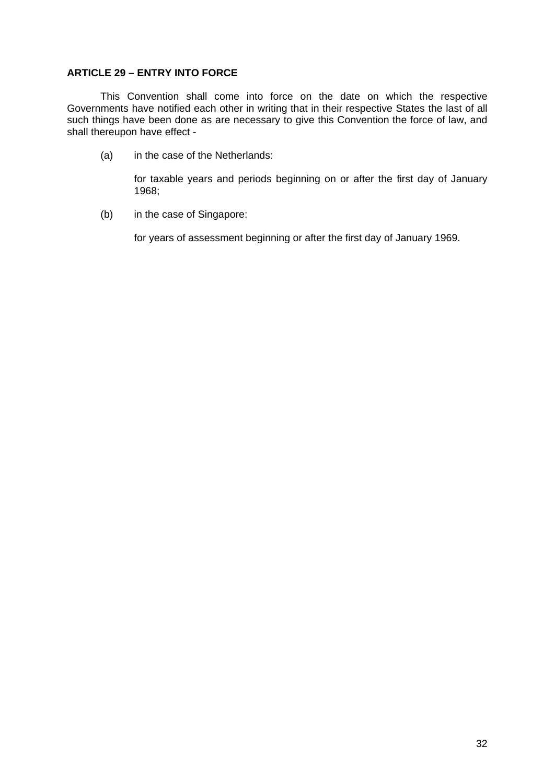#### **ARTICLE 29 – ENTRY INTO FORCE**

This Convention shall come into force on the date on which the respective Governments have notified each other in writing that in their respective States the last of all such things have been done as are necessary to give this Convention the force of law, and shall thereupon have effect -

(a) in the case of the Netherlands:

for taxable years and periods beginning on or after the first day of January 1968;

(b) in the case of Singapore:

for years of assessment beginning or after the first day of January 1969.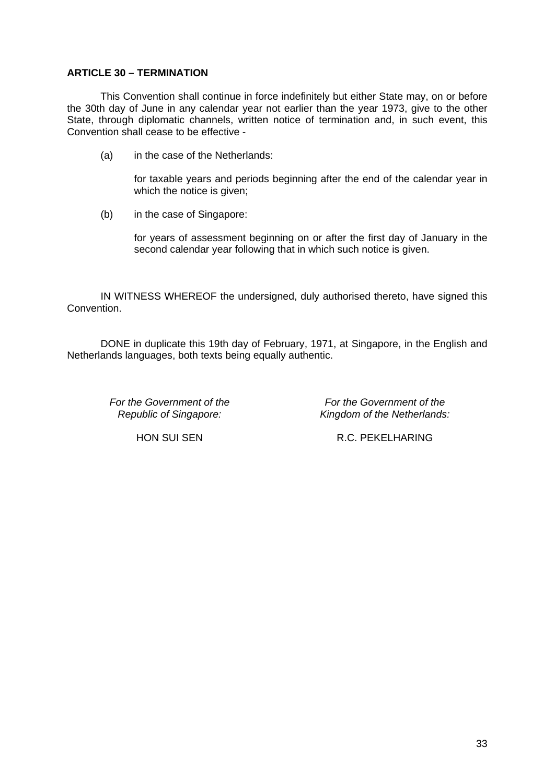#### **ARTICLE 30 – TERMINATION**

This Convention shall continue in force indefinitely but either State may, on or before the 30th day of June in any calendar year not earlier than the year 1973, give to the other State, through diplomatic channels, written notice of termination and, in such event, this Convention shall cease to be effective -

(a) in the case of the Netherlands:

for taxable years and periods beginning after the end of the calendar year in which the notice is given;

(b) in the case of Singapore:

for years of assessment beginning on or after the first day of January in the second calendar year following that in which such notice is given.

IN WITNESS WHEREOF the undersigned, duly authorised thereto, have signed this Convention.

DONE in duplicate this 19th day of February, 1971, at Singapore, in the English and Netherlands languages, both texts being equally authentic.

> *For the Government of the Republic of Singapore:*

*For the Government of the Kingdom of the Netherlands:*

HON SUI SEN R.C. PEKELHARING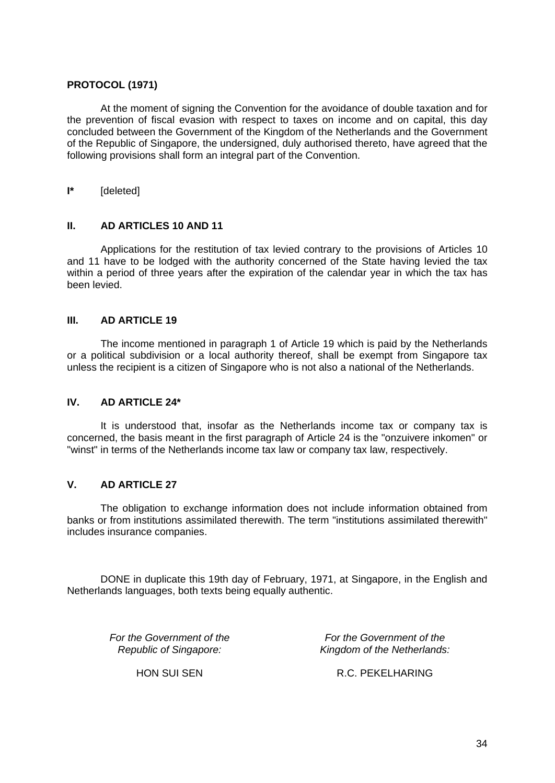#### **PROTOCOL (1971)**

At the moment of signing the Convention for the avoidance of double taxation and for the prevention of fiscal evasion with respect to taxes on income and on capital, this day concluded between the Government of the Kingdom of the Netherlands and the Government of the Republic of Singapore, the undersigned, duly authorised thereto, have agreed that the following provisions shall form an integral part of the Convention.

**I\*** [deleted]

#### **II. AD ARTICLES 10 AND 11**

Applications for the restitution of tax levied contrary to the provisions of Articles 10 and 11 have to be lodged with the authority concerned of the State having levied the tax within a period of three years after the expiration of the calendar year in which the tax has been levied.

#### **III. AD ARTICLE 19**

The income mentioned in paragraph 1 of Article 19 which is paid by the Netherlands or a political subdivision or a local authority thereof, shall be exempt from Singapore tax unless the recipient is a citizen of Singapore who is not also a national of the Netherlands.

#### **IV. AD ARTICLE 24\***

It is understood that, insofar as the Netherlands income tax or company tax is concerned, the basis meant in the first paragraph of Article 24 is the "onzuivere inkomen" or "winst" in terms of the Netherlands income tax law or company tax law, respectively.

#### **V. AD ARTICLE 27**

The obligation to exchange information does not include information obtained from banks or from institutions assimilated therewith. The term "institutions assimilated therewith" includes insurance companies.

DONE in duplicate this 19th day of February, 1971, at Singapore, in the English and Netherlands languages, both texts being equally authentic.

> *For the Government of the Republic of Singapore:*

*For the Government of the Kingdom of the Netherlands:*

HON SUI SEN R.C. PEKELHARING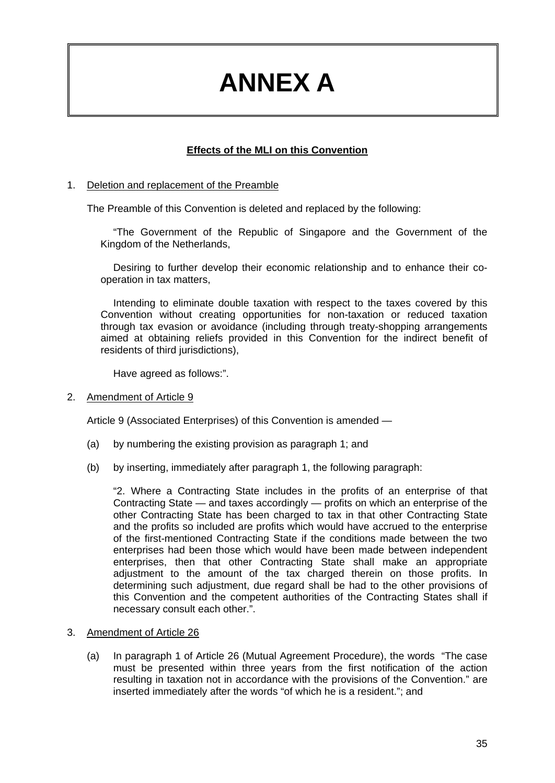# **ANNEX A**

#### **Effects of the MLI on this Convention**

#### 1. Deletion and replacement of the Preamble

The Preamble of this Convention is deleted and replaced by the following:

"The Government of the Republic of Singapore and the Government of the Kingdom of the Netherlands,

Desiring to further develop their economic relationship and to enhance their cooperation in tax matters,

Intending to eliminate double taxation with respect to the taxes covered by this Convention without creating opportunities for non-taxation or reduced taxation through tax evasion or avoidance (including through treaty-shopping arrangements aimed at obtaining reliefs provided in this Convention for the indirect benefit of residents of third jurisdictions),

Have agreed as follows:".

#### 2. Amendment of Article 9

Article 9 (Associated Enterprises) of this Convention is amended —

- (a) by numbering the existing provision as paragraph 1; and
- (b) by inserting, immediately after paragraph 1, the following paragraph:

"2. Where a Contracting State includes in the profits of an enterprise of that Contracting State — and taxes accordingly — profits on which an enterprise of the other Contracting State has been charged to tax in that other Contracting State and the profits so included are profits which would have accrued to the enterprise of the first-mentioned Contracting State if the conditions made between the two enterprises had been those which would have been made between independent enterprises, then that other Contracting State shall make an appropriate adjustment to the amount of the tax charged therein on those profits. In determining such adjustment, due regard shall be had to the other provisions of this Convention and the competent authorities of the Contracting States shall if necessary consult each other.".

#### 3. Amendment of Article 26

(a) In paragraph 1 of Article 26 (Mutual Agreement Procedure), the words "The case must be presented within three years from the first notification of the action resulting in taxation not in accordance with the provisions of the Convention." are inserted immediately after the words "of which he is a resident."; and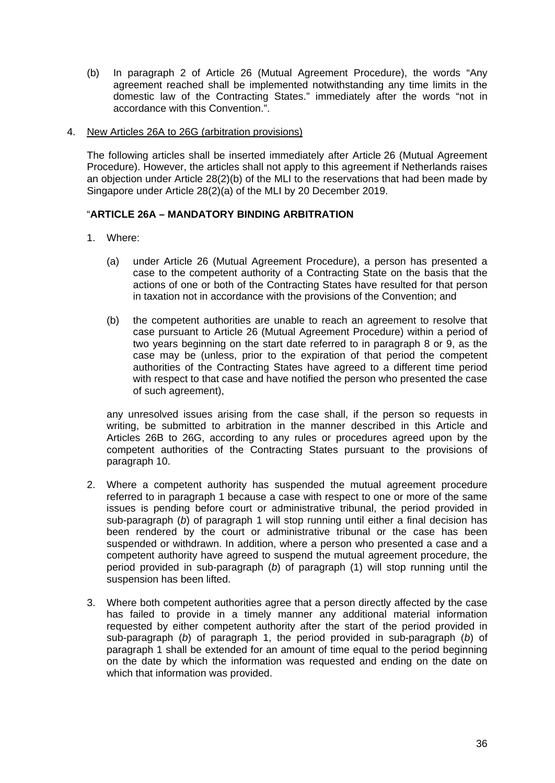- (b) In paragraph 2 of Article 26 (Mutual Agreement Procedure), the words "Any agreement reached shall be implemented notwithstanding any time limits in the domestic law of the Contracting States." immediately after the words "not in accordance with this Convention.".
- 4. New Articles 26A to 26G (arbitration provisions)

The following articles shall be inserted immediately after Article 26 (Mutual Agreement Procedure). However, the articles shall not apply to this agreement if Netherlands raises an objection under Article 28(2)(b) of the MLI to the reservations that had been made by Singapore under Article 28(2)(a) of the MLI by 20 December 2019.

#### "**ARTICLE 26A – MANDATORY BINDING ARBITRATION**

- 1. Where:
	- (a) under Article 26 (Mutual Agreement Procedure), a person has presented a case to the competent authority of a Contracting State on the basis that the actions of one or both of the Contracting States have resulted for that person in taxation not in accordance with the provisions of the Convention; and
	- (b) the competent authorities are unable to reach an agreement to resolve that case pursuant to Article 26 (Mutual Agreement Procedure) within a period of two years beginning on the start date referred to in paragraph 8 or 9, as the case may be (unless, prior to the expiration of that period the competent authorities of the Contracting States have agreed to a different time period with respect to that case and have notified the person who presented the case of such agreement),

any unresolved issues arising from the case shall, if the person so requests in writing, be submitted to arbitration in the manner described in this Article and Articles 26B to 26G, according to any rules or procedures agreed upon by the competent authorities of the Contracting States pursuant to the provisions of paragraph 10.

- 2. Where a competent authority has suspended the mutual agreement procedure referred to in paragraph 1 because a case with respect to one or more of the same issues is pending before court or administrative tribunal, the period provided in sub-paragraph (*b*) of paragraph 1 will stop running until either a final decision has been rendered by the court or administrative tribunal or the case has been suspended or withdrawn. In addition, where a person who presented a case and a competent authority have agreed to suspend the mutual agreement procedure, the period provided in sub-paragraph (*b*) of paragraph (1) will stop running until the suspension has been lifted.
- 3. Where both competent authorities agree that a person directly affected by the case has failed to provide in a timely manner any additional material information requested by either competent authority after the start of the period provided in sub-paragraph (*b*) of paragraph 1, the period provided in sub-paragraph (*b*) of paragraph 1 shall be extended for an amount of time equal to the period beginning on the date by which the information was requested and ending on the date on which that information was provided.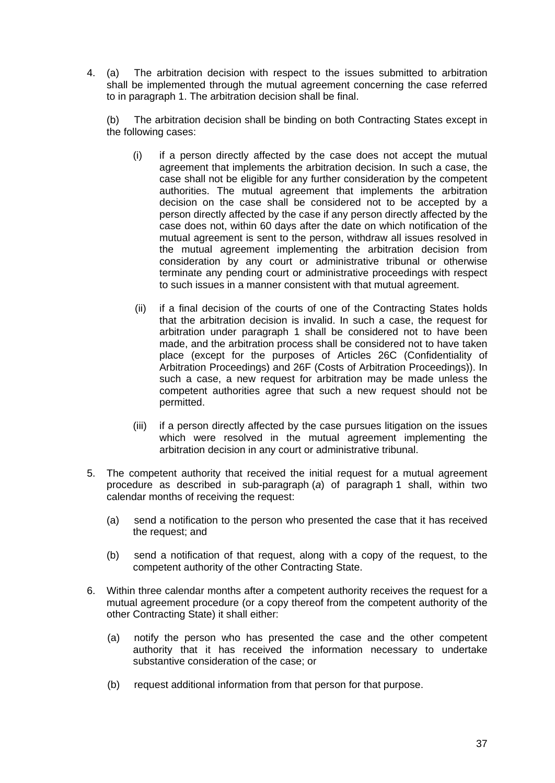4. (a) The arbitration decision with respect to the issues submitted to arbitration shall be implemented through the mutual agreement concerning the case referred to in paragraph 1. The arbitration decision shall be final.

(b) The arbitration decision shall be binding on both Contracting States except in the following cases:

- (i) if a person directly affected by the case does not accept the mutual agreement that implements the arbitration decision. In such a case, the case shall not be eligible for any further consideration by the competent authorities. The mutual agreement that implements the arbitration decision on the case shall be considered not to be accepted by a person directly affected by the case if any person directly affected by the case does not, within 60 days after the date on which notification of the mutual agreement is sent to the person, withdraw all issues resolved in the mutual agreement implementing the arbitration decision from consideration by any court or administrative tribunal or otherwise terminate any pending court or administrative proceedings with respect to such issues in a manner consistent with that mutual agreement.
- (ii) if a final decision of the courts of one of the Contracting States holds that the arbitration decision is invalid. In such a case, the request for arbitration under paragraph 1 shall be considered not to have been made, and the arbitration process shall be considered not to have taken place (except for the purposes of Articles 26C (Confidentiality of Arbitration Proceedings) and 26F (Costs of Arbitration Proceedings)). In such a case, a new request for arbitration may be made unless the competent authorities agree that such a new request should not be permitted.
- (iii) if a person directly affected by the case pursues litigation on the issues which were resolved in the mutual agreement implementing the arbitration decision in any court or administrative tribunal.
- 5. The competent authority that received the initial request for a mutual agreement procedure as described in sub-paragraph (*a*) of paragraph 1 shall, within two calendar months of receiving the request:
	- (a) send a notification to the person who presented the case that it has received the request; and
	- (b) send a notification of that request, along with a copy of the request, to the competent authority of the other Contracting State.
- 6. Within three calendar months after a competent authority receives the request for a mutual agreement procedure (or a copy thereof from the competent authority of the other Contracting State) it shall either:
	- (a) notify the person who has presented the case and the other competent authority that it has received the information necessary to undertake substantive consideration of the case; or
	- (b) request additional information from that person for that purpose.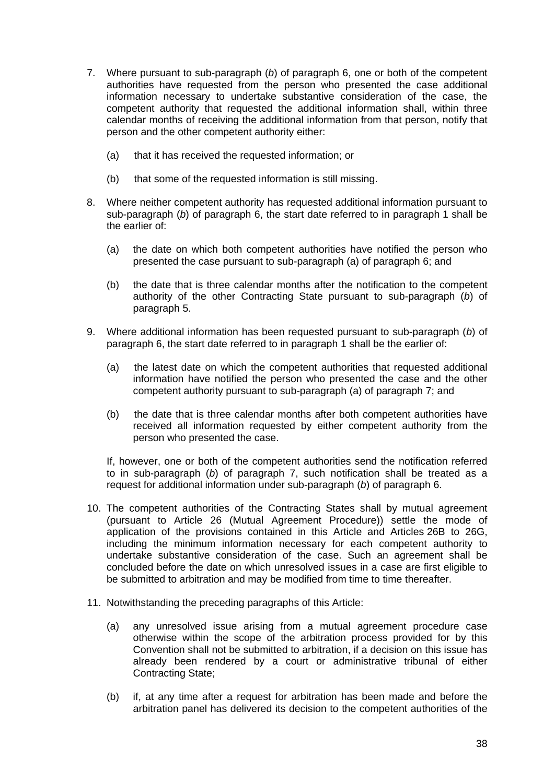- 7. Where pursuant to sub-paragraph (*b*) of paragraph 6, one or both of the competent authorities have requested from the person who presented the case additional information necessary to undertake substantive consideration of the case, the competent authority that requested the additional information shall, within three calendar months of receiving the additional information from that person, notify that person and the other competent authority either:
	- (a) that it has received the requested information; or
	- (b) that some of the requested information is still missing.
- 8. Where neither competent authority has requested additional information pursuant to sub-paragraph (*b*) of paragraph 6, the start date referred to in paragraph 1 shall be the earlier of:
	- (a) the date on which both competent authorities have notified the person who presented the case pursuant to sub-paragraph (a) of paragraph 6; and
	- (b) the date that is three calendar months after the notification to the competent authority of the other Contracting State pursuant to sub-paragraph (*b*) of paragraph 5.
- 9. Where additional information has been requested pursuant to sub-paragraph (*b*) of paragraph 6, the start date referred to in paragraph 1 shall be the earlier of:
	- (a) the latest date on which the competent authorities that requested additional information have notified the person who presented the case and the other competent authority pursuant to sub-paragraph (a) of paragraph 7; and
	- (b) the date that is three calendar months after both competent authorities have received all information requested by either competent authority from the person who presented the case.

If, however, one or both of the competent authorities send the notification referred to in sub-paragraph (*b*) of paragraph 7, such notification shall be treated as a request for additional information under sub-paragraph (*b*) of paragraph 6.

- 10. The competent authorities of the Contracting States shall by mutual agreement (pursuant to Article 26 (Mutual Agreement Procedure)) settle the mode of application of the provisions contained in this Article and Articles 26B to 26G, including the minimum information necessary for each competent authority to undertake substantive consideration of the case. Such an agreement shall be concluded before the date on which unresolved issues in a case are first eligible to be submitted to arbitration and may be modified from time to time thereafter.
- 11. Notwithstanding the preceding paragraphs of this Article:
	- (a) any unresolved issue arising from a mutual agreement procedure case otherwise within the scope of the arbitration process provided for by this Convention shall not be submitted to arbitration, if a decision on this issue has already been rendered by a court or administrative tribunal of either Contracting State;
	- (b) if, at any time after a request for arbitration has been made and before the arbitration panel has delivered its decision to the competent authorities of the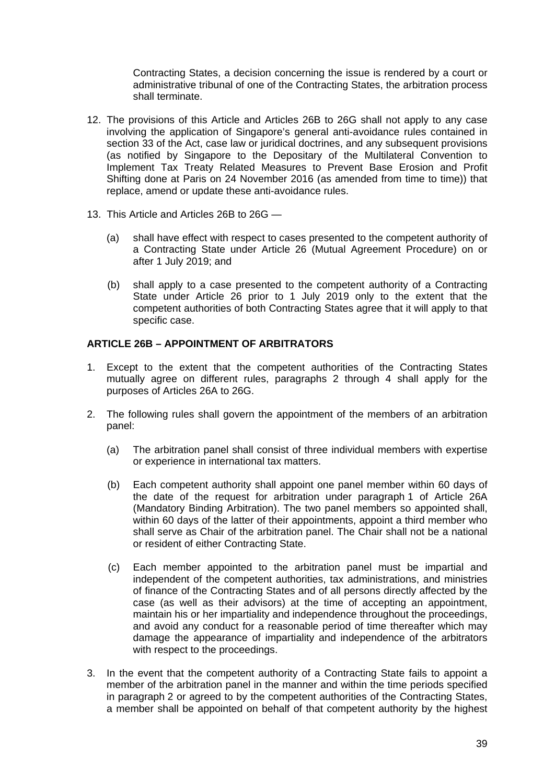Contracting States, a decision concerning the issue is rendered by a court or administrative tribunal of one of the Contracting States, the arbitration process shall terminate.

- 12. The provisions of this Article and Articles 26B to 26G shall not apply to any case involving the application of Singapore's general anti-avoidance rules contained in section 33 of the Act, case law or juridical doctrines, and any subsequent provisions (as notified by Singapore to the Depositary of the Multilateral Convention to Implement Tax Treaty Related Measures to Prevent Base Erosion and Profit Shifting done at Paris on 24 November 2016 (as amended from time to time)) that replace, amend or update these anti-avoidance rules.
- 13. This Article and Articles 26B to 26G
	- (a) shall have effect with respect to cases presented to the competent authority of a Contracting State under Article 26 (Mutual Agreement Procedure) on or after 1 July 2019; and
	- (b) shall apply to a case presented to the competent authority of a Contracting State under Article 26 prior to 1 July 2019 only to the extent that the competent authorities of both Contracting States agree that it will apply to that specific case.

#### **ARTICLE 26B – APPOINTMENT OF ARBITRATORS**

- 1. Except to the extent that the competent authorities of the Contracting States mutually agree on different rules, paragraphs 2 through 4 shall apply for the purposes of Articles 26A to 26G.
- 2. The following rules shall govern the appointment of the members of an arbitration panel:
	- (a) The arbitration panel shall consist of three individual members with expertise or experience in international tax matters.
	- (b) Each competent authority shall appoint one panel member within 60 days of the date of the request for arbitration under paragraph 1 of Article 26A (Mandatory Binding Arbitration). The two panel members so appointed shall, within 60 days of the latter of their appointments, appoint a third member who shall serve as Chair of the arbitration panel. The Chair shall not be a national or resident of either Contracting State.
	- (c) Each member appointed to the arbitration panel must be impartial and independent of the competent authorities, tax administrations, and ministries of finance of the Contracting States and of all persons directly affected by the case (as well as their advisors) at the time of accepting an appointment, maintain his or her impartiality and independence throughout the proceedings, and avoid any conduct for a reasonable period of time thereafter which may damage the appearance of impartiality and independence of the arbitrators with respect to the proceedings.
- 3. In the event that the competent authority of a Contracting State fails to appoint a member of the arbitration panel in the manner and within the time periods specified in paragraph 2 or agreed to by the competent authorities of the Contracting States, a member shall be appointed on behalf of that competent authority by the highest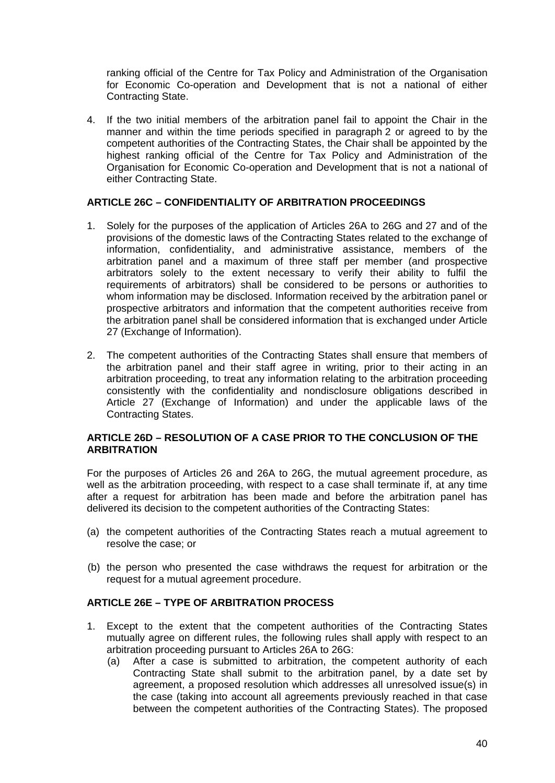ranking official of the Centre for Tax Policy and Administration of the Organisation for Economic Co-operation and Development that is not a national of either Contracting State.

4. If the two initial members of the arbitration panel fail to appoint the Chair in the manner and within the time periods specified in paragraph 2 or agreed to by the competent authorities of the Contracting States, the Chair shall be appointed by the highest ranking official of the Centre for Tax Policy and Administration of the Organisation for Economic Co-operation and Development that is not a national of either Contracting State.

#### **ARTICLE 26C – CONFIDENTIALITY OF ARBITRATION PROCEEDINGS**

- 1. Solely for the purposes of the application of Articles 26A to 26G and 27 and of the provisions of the domestic laws of the Contracting States related to the exchange of information, confidentiality, and administrative assistance, members of the arbitration panel and a maximum of three staff per member (and prospective arbitrators solely to the extent necessary to verify their ability to fulfil the requirements of arbitrators) shall be considered to be persons or authorities to whom information may be disclosed. Information received by the arbitration panel or prospective arbitrators and information that the competent authorities receive from the arbitration panel shall be considered information that is exchanged under Article 27 (Exchange of Information).
- 2. The competent authorities of the Contracting States shall ensure that members of the arbitration panel and their staff agree in writing, prior to their acting in an arbitration proceeding, to treat any information relating to the arbitration proceeding consistently with the confidentiality and nondisclosure obligations described in Article 27 (Exchange of Information) and under the applicable laws of the Contracting States.

#### **ARTICLE 26D – RESOLUTION OF A CASE PRIOR TO THE CONCLUSION OF THE ARBITRATION**

For the purposes of Articles 26 and 26A to 26G, the mutual agreement procedure, as well as the arbitration proceeding, with respect to a case shall terminate if, at any time after a request for arbitration has been made and before the arbitration panel has delivered its decision to the competent authorities of the Contracting States:

- (a) the competent authorities of the Contracting States reach a mutual agreement to resolve the case; or
- (b) the person who presented the case withdraws the request for arbitration or the request for a mutual agreement procedure.

#### **ARTICLE 26E – TYPE OF ARBITRATION PROCESS**

- 1. Except to the extent that the competent authorities of the Contracting States mutually agree on different rules, the following rules shall apply with respect to an arbitration proceeding pursuant to Articles 26A to 26G:
	- (a) After a case is submitted to arbitration, the competent authority of each Contracting State shall submit to the arbitration panel, by a date set by agreement, a proposed resolution which addresses all unresolved issue(s) in the case (taking into account all agreements previously reached in that case between the competent authorities of the Contracting States). The proposed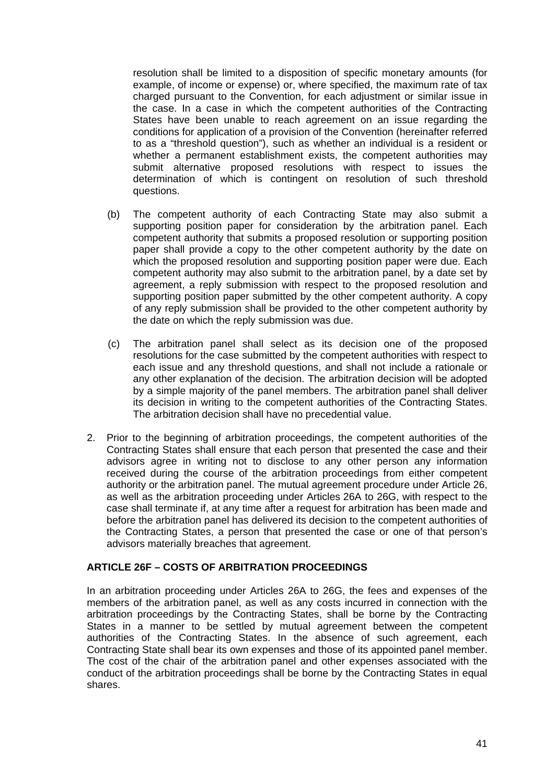resolution shall be limited to a disposition of specific monetary amounts (for example, of income or expense) or, where specified, the maximum rate of tax charged pursuant to the Convention, for each adjustment or similar issue in the case. In a case in which the competent authorities of the Contracting States have been unable to reach agreement on an issue regarding the conditions for application of a provision of the Convention (hereinafter referred to as a "threshold question"), such as whether an individual is a resident or whether a permanent establishment exists, the competent authorities may submit alternative proposed resolutions with respect to issues the determination of which is contingent on resolution of such threshold questions.

- (b) The competent authority of each Contracting State may also submit a supporting position paper for consideration by the arbitration panel. Each competent authority that submits a proposed resolution or supporting position paper shall provide a copy to the other competent authority by the date on which the proposed resolution and supporting position paper were due. Each competent authority may also submit to the arbitration panel, by a date set by agreement, a reply submission with respect to the proposed resolution and supporting position paper submitted by the other competent authority. A copy of any reply submission shall be provided to the other competent authority by the date on which the reply submission was due.
- (c) The arbitration panel shall select as its decision one of the proposed resolutions for the case submitted by the competent authorities with respect to each issue and any threshold questions, and shall not include a rationale or any other explanation of the decision. The arbitration decision will be adopted by a simple majority of the panel members. The arbitration panel shall deliver its decision in writing to the competent authorities of the Contracting States. The arbitration decision shall have no precedential value.
- 2. Prior to the beginning of arbitration proceedings, the competent authorities of the Contracting States shall ensure that each person that presented the case and their advisors agree in writing not to disclose to any other person any information received during the course of the arbitration proceedings from either competent authority or the arbitration panel. The mutual agreement procedure under Article 26, as well as the arbitration proceeding under Articles 26A to 26G, with respect to the case shall terminate if, at any time after a request for arbitration has been made and before the arbitration panel has delivered its decision to the competent authorities of the Contracting States, a person that presented the case or one of that person's advisors materially breaches that agreement.

#### **ARTICLE 26F – COSTS OF ARBITRATION PROCEEDINGS**

In an arbitration proceeding under Articles 26A to 26G, the fees and expenses of the members of the arbitration panel, as well as any costs incurred in connection with the arbitration proceedings by the Contracting States, shall be borne by the Contracting States in a manner to be settled by mutual agreement between the competent authorities of the Contracting States. In the absence of such agreement, each Contracting State shall bear its own expenses and those of its appointed panel member. The cost of the chair of the arbitration panel and other expenses associated with the conduct of the arbitration proceedings shall be borne by the Contracting States in equal shares.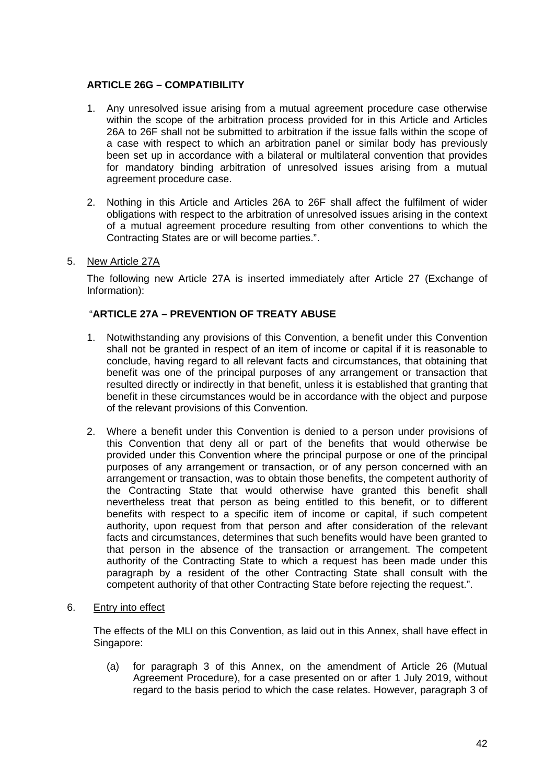#### **ARTICLE 26G – COMPATIBILITY**

- 1. Any unresolved issue arising from a mutual agreement procedure case otherwise within the scope of the arbitration process provided for in this Article and Articles 26A to 26F shall not be submitted to arbitration if the issue falls within the scope of a case with respect to which an arbitration panel or similar body has previously been set up in accordance with a bilateral or multilateral convention that provides for mandatory binding arbitration of unresolved issues arising from a mutual agreement procedure case.
- 2. Nothing in this Article and Articles 26A to 26F shall affect the fulfilment of wider obligations with respect to the arbitration of unresolved issues arising in the context of a mutual agreement procedure resulting from other conventions to which the Contracting States are or will become parties.".
- 5. New Article 27A

The following new Article 27A is inserted immediately after Article 27 (Exchange of Information):

#### "**ARTICLE 27A – PREVENTION OF TREATY ABUSE**

- 1. Notwithstanding any provisions of this Convention, a benefit under this Convention shall not be granted in respect of an item of income or capital if it is reasonable to conclude, having regard to all relevant facts and circumstances, that obtaining that benefit was one of the principal purposes of any arrangement or transaction that resulted directly or indirectly in that benefit, unless it is established that granting that benefit in these circumstances would be in accordance with the object and purpose of the relevant provisions of this Convention.
- 2. Where a benefit under this Convention is denied to a person under provisions of this Convention that deny all or part of the benefits that would otherwise be provided under this Convention where the principal purpose or one of the principal purposes of any arrangement or transaction, or of any person concerned with an arrangement or transaction, was to obtain those benefits, the competent authority of the Contracting State that would otherwise have granted this benefit shall nevertheless treat that person as being entitled to this benefit, or to different benefits with respect to a specific item of income or capital, if such competent authority, upon request from that person and after consideration of the relevant facts and circumstances, determines that such benefits would have been granted to that person in the absence of the transaction or arrangement. The competent authority of the Contracting State to which a request has been made under this paragraph by a resident of the other Contracting State shall consult with the competent authority of that other Contracting State before rejecting the request.".
- 6. Entry into effect

The effects of the MLI on this Convention, as laid out in this Annex, shall have effect in Singapore:

(a) for paragraph 3 of this Annex, on the amendment of Article 26 (Mutual Agreement Procedure), for a case presented on or after 1 July 2019, without regard to the basis period to which the case relates. However, paragraph 3 of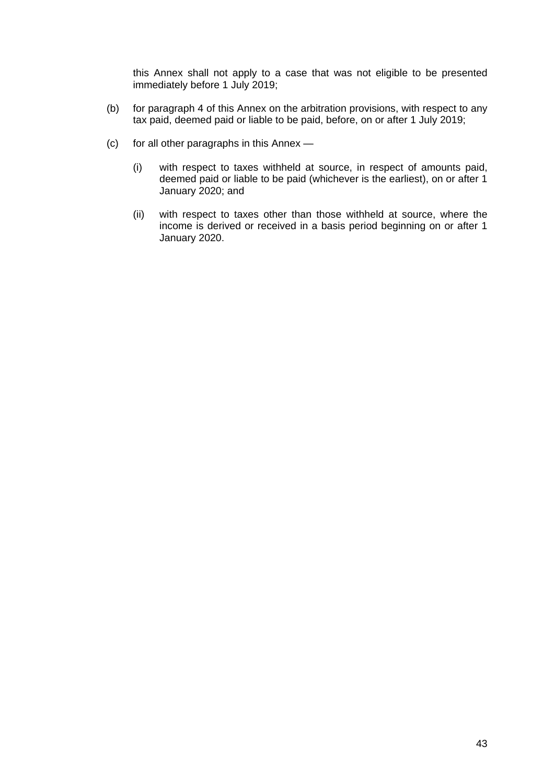this Annex shall not apply to a case that was not eligible to be presented immediately before 1 July 2019;

- (b) for paragraph 4 of this Annex on the arbitration provisions, with respect to any tax paid, deemed paid or liable to be paid, before, on or after 1 July 2019;
- (c) for all other paragraphs in this Annex
	- (i) with respect to taxes withheld at source, in respect of amounts paid, deemed paid or liable to be paid (whichever is the earliest), on or after 1 January 2020; and
	- (ii) with respect to taxes other than those withheld at source, where the income is derived or received in a basis period beginning on or after 1 January 2020.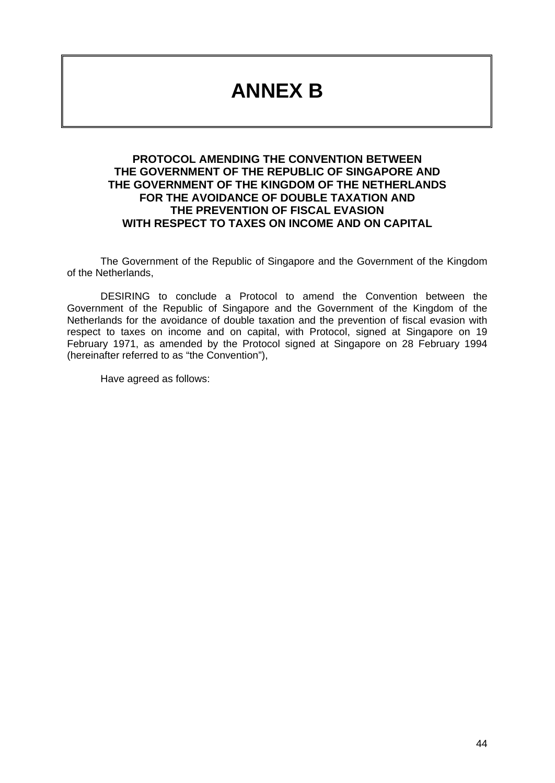### **ANNEX B**

#### **PROTOCOL AMENDING THE CONVENTION BETWEEN THE GOVERNMENT OF THE REPUBLIC OF SINGAPORE AND THE GOVERNMENT OF THE KINGDOM OF THE NETHERLANDS FOR THE AVOIDANCE OF DOUBLE TAXATION AND THE PREVENTION OF FISCAL EVASION WITH RESPECT TO TAXES ON INCOME AND ON CAPITAL**

The Government of the Republic of Singapore and the Government of the Kingdom of the Netherlands,

DESIRING to conclude a Protocol to amend the Convention between the Government of the Republic of Singapore and the Government of the Kingdom of the Netherlands for the avoidance of double taxation and the prevention of fiscal evasion with respect to taxes on income and on capital, with Protocol, signed at Singapore on 19 February 1971, as amended by the Protocol signed at Singapore on 28 February 1994 (hereinafter referred to as "the Convention"),

Have agreed as follows: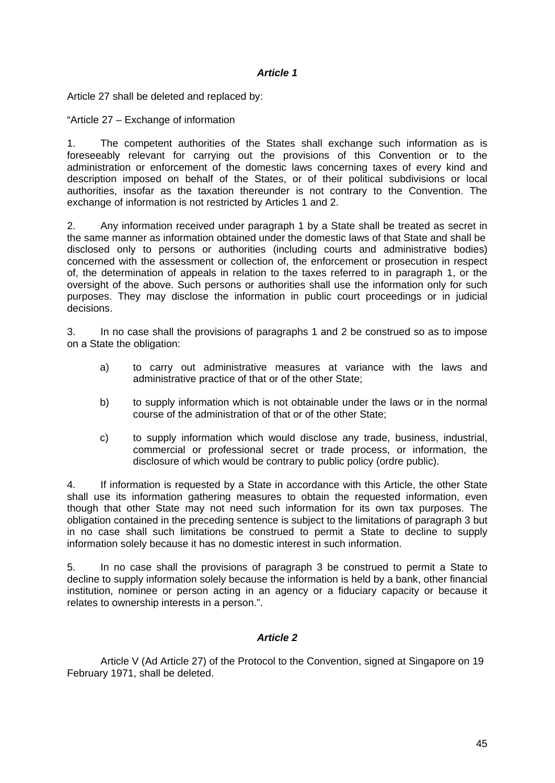#### *Article 1*

Article 27 shall be deleted and replaced by:

"Article 27 – Exchange of information

1. The competent authorities of the States shall exchange such information as is foreseeably relevant for carrying out the provisions of this Convention or to the administration or enforcement of the domestic laws concerning taxes of every kind and description imposed on behalf of the States, or of their political subdivisions or local authorities, insofar as the taxation thereunder is not contrary to the Convention. The exchange of information is not restricted by Articles 1 and 2.

2. Any information received under paragraph 1 by a State shall be treated as secret in the same manner as information obtained under the domestic laws of that State and shall be disclosed only to persons or authorities (including courts and administrative bodies) concerned with the assessment or collection of, the enforcement or prosecution in respect of, the determination of appeals in relation to the taxes referred to in paragraph 1, or the oversight of the above. Such persons or authorities shall use the information only for such purposes. They may disclose the information in public court proceedings or in judicial decisions.

3. In no case shall the provisions of paragraphs 1 and 2 be construed so as to impose on a State the obligation:

- a) to carry out administrative measures at variance with the laws and administrative practice of that or of the other State;
- b) to supply information which is not obtainable under the laws or in the normal course of the administration of that or of the other State;
- c) to supply information which would disclose any trade, business, industrial, commercial or professional secret or trade process, or information, the disclosure of which would be contrary to public policy (ordre public).

4. If information is requested by a State in accordance with this Article, the other State shall use its information gathering measures to obtain the requested information, even though that other State may not need such information for its own tax purposes. The obligation contained in the preceding sentence is subject to the limitations of paragraph 3 but in no case shall such limitations be construed to permit a State to decline to supply information solely because it has no domestic interest in such information.

5. In no case shall the provisions of paragraph 3 be construed to permit a State to decline to supply information solely because the information is held by a bank, other financial institution, nominee or person acting in an agency or a fiduciary capacity or because it relates to ownership interests in a person.".

#### *Article 2*

Article V (Ad Article 27) of the Protocol to the Convention, signed at Singapore on 19 February 1971, shall be deleted.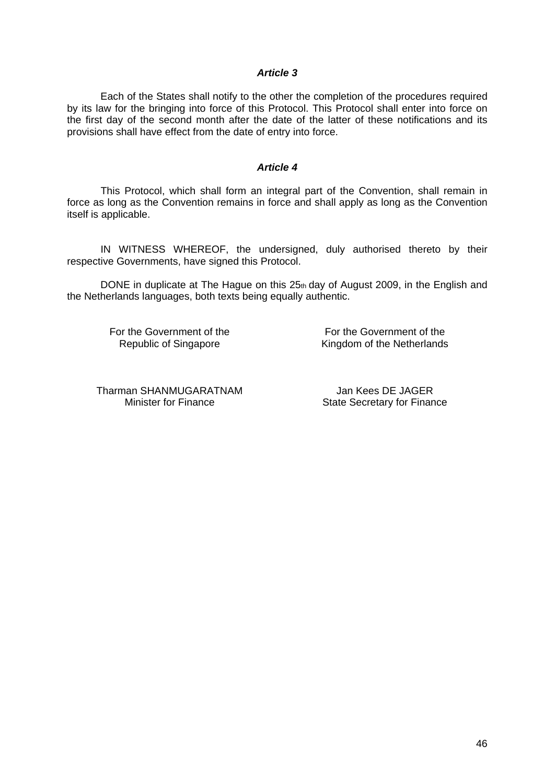#### *Article 3*

Each of the States shall notify to the other the completion of the procedures required by its law for the bringing into force of this Protocol. This Protocol shall enter into force on the first day of the second month after the date of the latter of these notifications and its provisions shall have effect from the date of entry into force.

#### *Article 4*

This Protocol, which shall form an integral part of the Convention, shall remain in force as long as the Convention remains in force and shall apply as long as the Convention itself is applicable.

IN WITNESS WHEREOF, the undersigned, duly authorised thereto by their respective Governments, have signed this Protocol.

DONE in duplicate at The Hague on this 25th day of August 2009, in the English and the Netherlands languages, both texts being equally authentic.

> For the Government of the Republic of Singapore

For the Government of the Kingdom of the Netherlands

Tharman SHANMUGARATNAM Minister for Finance

Jan Kees DE JAGER State Secretary for Finance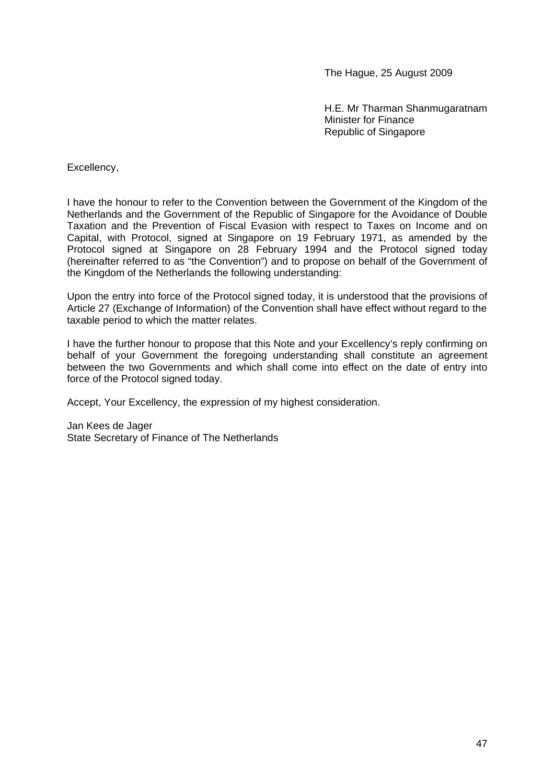The Hague, 25 August 2009

H.E. Mr Tharman Shanmugaratnam Minister for Finance Republic of Singapore

Excellency,

I have the honour to refer to the Convention between the Government of the Kingdom of the Netherlands and the Government of the Republic of Singapore for the Avoidance of Double Taxation and the Prevention of Fiscal Evasion with respect to Taxes on Income and on Capital, with Protocol, signed at Singapore on 19 February 1971, as amended by the Protocol signed at Singapore on 28 February 1994 and the Protocol signed today (hereinafter referred to as "the Convention") and to propose on behalf of the Government of the Kingdom of the Netherlands the following understanding:

Upon the entry into force of the Protocol signed today, it is understood that the provisions of Article 27 (Exchange of Information) of the Convention shall have effect without regard to the taxable period to which the matter relates.

I have the further honour to propose that this Note and your Excellency's reply confirming on behalf of your Government the foregoing understanding shall constitute an agreement between the two Governments and which shall come into effect on the date of entry into force of the Protocol signed today.

Accept, Your Excellency, the expression of my highest consideration.

Jan Kees de Jager State Secretary of Finance of The Netherlands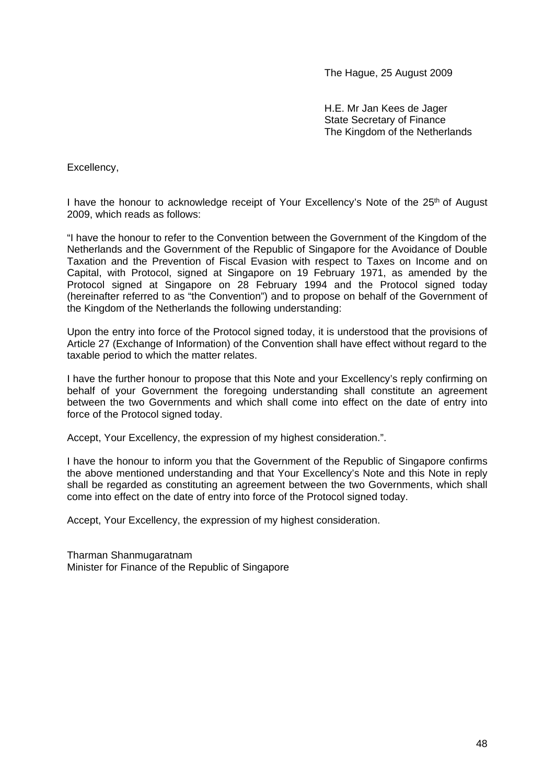The Hague, 25 August 2009

H.E. Mr Jan Kees de Jager State Secretary of Finance The Kingdom of the Netherlands

Excellency,

I have the honour to acknowledge receipt of Your Excellency's Note of the 25<sup>th</sup> of August 2009, which reads as follows:

"I have the honour to refer to the Convention between the Government of the Kingdom of the Netherlands and the Government of the Republic of Singapore for the Avoidance of Double Taxation and the Prevention of Fiscal Evasion with respect to Taxes on Income and on Capital, with Protocol, signed at Singapore on 19 February 1971, as amended by the Protocol signed at Singapore on 28 February 1994 and the Protocol signed today (hereinafter referred to as "the Convention") and to propose on behalf of the Government of the Kingdom of the Netherlands the following understanding:

Upon the entry into force of the Protocol signed today, it is understood that the provisions of Article 27 (Exchange of Information) of the Convention shall have effect without regard to the taxable period to which the matter relates.

I have the further honour to propose that this Note and your Excellency's reply confirming on behalf of your Government the foregoing understanding shall constitute an agreement between the two Governments and which shall come into effect on the date of entry into force of the Protocol signed today.

Accept, Your Excellency, the expression of my highest consideration.".

I have the honour to inform you that the Government of the Republic of Singapore confirms the above mentioned understanding and that Your Excellency's Note and this Note in reply shall be regarded as constituting an agreement between the two Governments, which shall come into effect on the date of entry into force of the Protocol signed today.

Accept, Your Excellency, the expression of my highest consideration.

Tharman Shanmugaratnam Minister for Finance of the Republic of Singapore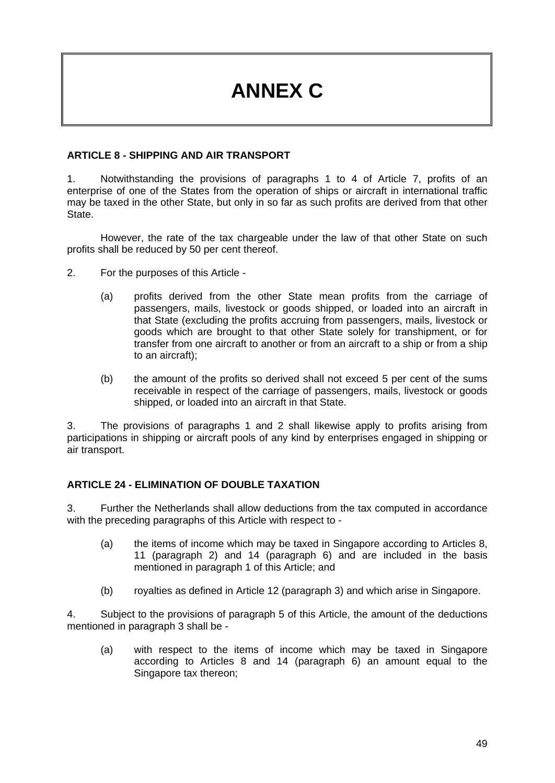## **ANNEX C**

#### **ARTICLE 8 - SHIPPING AND AIR TRANSPORT**

1. Notwithstanding the provisions of paragraphs 1 to 4 of Article 7, profits of an enterprise of one of the States from the operation of ships or aircraft in international traffic may be taxed in the other State, but only in so far as such profits are derived from that other State.

However, the rate of the tax chargeable under the law of that other State on such profits shall be reduced by 50 per cent thereof.

- 2. For the purposes of this Article
	- (a) profits derived from the other State mean profits from the carriage of passengers, mails, livestock or goods shipped, or loaded into an aircraft in that State (excluding the profits accruing from passengers, mails, livestock or goods which are brought to that other State solely for transhipment, or for transfer from one aircraft to another or from an aircraft to a ship or from a ship to an aircraft);
	- (b) the amount of the profits so derived shall not exceed 5 per cent of the sums receivable in respect of the carriage of passengers, mails, livestock or goods shipped, or loaded into an aircraft in that State.

3. The provisions of paragraphs 1 and 2 shall likewise apply to profits arising from participations in shipping or aircraft pools of any kind by enterprises engaged in shipping or air transport.

#### **ARTICLE 24 - ELIMINATION OF DOUBLE TAXATION**

3. Further the Netherlands shall allow deductions from the tax computed in accordance with the preceding paragraphs of this Article with respect to -

- (a) the items of income which may be taxed in Singapore according to Articles 8, 11 (paragraph 2) and 14 (paragraph 6) and are included in the basis mentioned in paragraph 1 of this Article; and
- (b) royalties as defined in Article 12 (paragraph 3) and which arise in Singapore.

4. Subject to the provisions of paragraph 5 of this Article, the amount of the deductions mentioned in paragraph 3 shall be -

(a) with respect to the items of income which may be taxed in Singapore according to Articles 8 and 14 (paragraph 6) an amount equal to the Singapore tax thereon;